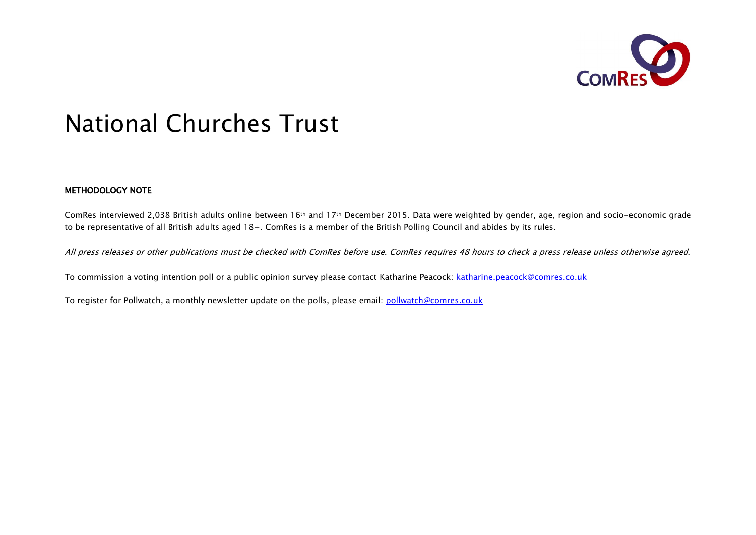

# National Churches Trust

#### METHODOLOGY NOTE

ComRes interviewed 2,038 British adults online between 16th and 17th December 2015. Data were weighted by gender, age, region and socio-economic grade to be representative of all British adults aged 18+. ComRes is a member of the British Polling Council and abides by its rules.

All press releases or other publications must be checked with ComRes before use. ComRes requires 48 hours to check a press release unless otherwise agreed.

To commission a voting intention poll or a public opinion survey please contact Katharine Peacock: katharine.peacock@comres.co.uk

To register for Pollwatch, a monthly newsletter update on the polls, please email: pollwatch@comres.co.uk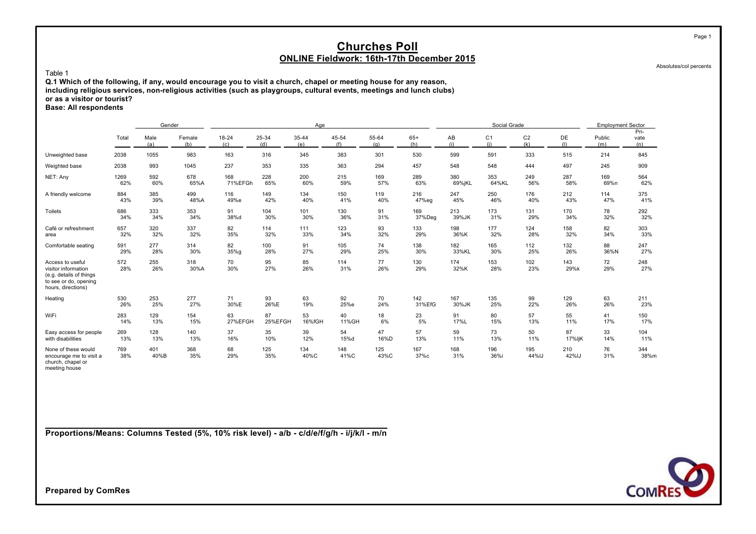Absolutes/col percents

Page 1

#### Table 1

**Q.1 Which of the following, if any, would encourage you to visit a church, chapel or meeting house for any reason, including religious services, non-religious activities (such as playgroups, cultural events, meetings and lunch clubs) or as a visitor or tourist? Base: All respondents**

|                                                                                                                   |            | Gender                       |             |                  |              | Age          |              |              |              |             | Social Grade          |                       |              | <b>Employment Sector</b> |                     |
|-------------------------------------------------------------------------------------------------------------------|------------|------------------------------|-------------|------------------|--------------|--------------|--------------|--------------|--------------|-------------|-----------------------|-----------------------|--------------|--------------------------|---------------------|
|                                                                                                                   | Total      | Male<br>Female<br>(a)<br>(b) |             | $18 - 24$<br>(c) | 25-34<br>(d) | 35-44<br>(e) | 45-54<br>(f) | 55-64<br>(q) | $65+$<br>(h) | AB<br>(i)   | C <sub>1</sub><br>(i) | C <sub>2</sub><br>(k) | DE<br>(1)    | Public<br>(m)            | Pri-<br>vate<br>(n) |
| Unweighted base                                                                                                   | 2038       | 1055                         | 983         | 163              | 316          | 345          | 383          | 301          | 530          | 599         | 591                   | 333                   | 515          | 214                      | 845                 |
| Weighted base                                                                                                     | 2038       | 993                          | 1045        | 237              | 353          | 335          | 363          | 294          | 457          | 548         | 548                   | 444                   | 497          | 245                      | 909                 |
| NET: Any                                                                                                          | 1269       | 592                          | 678         | 168              | 228          | 200          | 215          | 169          | 289          | 380         | 353                   | 249                   | 287          | 169                      | 564                 |
|                                                                                                                   | 62%        | 60%                          | 65%A        | 71%EFGh          | 65%          | 60%          | 59%          | 57%          | 63%          | 69%jKL      | 64%KL                 | 56%                   | 58%          | 69%n                     | 62%                 |
| A friendly welcome                                                                                                | 884        | 385                          | 499         | 116              | 149          | 134          | 150          | 119          | 216          | 247         | 250                   | 176                   | 212          | 114                      | 375                 |
|                                                                                                                   | 43%        | 39%                          | 48%A        | 49%e             | 42%          | 40%          | 41%          | 40%          | 47%eg        | 45%         | 46%                   | 40%                   | 43%          | 47%                      | 41%                 |
| Toilets                                                                                                           | 686        | 333                          | 353         | 91               | 104          | 101          | 130          | 91           | 169          | 213         | 173                   | 131                   | 170          | 78                       | 292                 |
|                                                                                                                   | 34%        | 34%                          | 34%         | 38%d             | 30%          | 30%          | 36%          | 31%          | 37%Deg       | 39%JK       | 31%                   | 29%                   | 34%          | 32%                      | 32%                 |
| Café or refreshment                                                                                               | 657        | 320                          | 337         | 82               | 114          | 111          | 123          | 93           | 133          | 198         | 177                   | 124                   | 158          | 82                       | 303                 |
| area                                                                                                              | 32%        | 32%                          | 32%         | 35%              | 32%          | 33%          | 34%          | 32%          | 29%          | 36%K        | 32%                   | 28%                   | 32%          | 34%                      | 33%                 |
| Comfortable seating                                                                                               | 591        | 277                          | 314         | 82               | 100          | 91           | 105          | 74           | 138          | 182         | 165                   | 112                   | 132          | 88                       | 247                 |
|                                                                                                                   | 29%        | 28%                          | 30%         | 35%q             | 28%          | 27%          | 29%          | 25%          | 30%          | 33%KL       | 30%                   | 25%                   | 26%          | 36%N                     | 27%                 |
| Access to useful<br>visitor information<br>(e.g. details of things<br>to see or do, opening<br>hours, directions) | 572<br>28% | 255<br>26%                   | 318<br>30%A | 70<br>30%        | 95<br>27%    | 85<br>26%    | 114<br>31%   | 77<br>26%    | 130<br>29%   | 174<br>32%K | 153<br>28%            | 102<br>23%            | 143<br>29%k  | 72<br>29%                | 248<br>27%          |
| Heating                                                                                                           | 530        | 253                          | 277         | 71               | 93           | 63           | 92           | 70           | 142          | 167         | 135                   | 99                    | 129          | 63                       | 211                 |
|                                                                                                                   | 26%        | 25%                          | 27%         | 30%E             | 26%E         | 19%          | 25%e         | 24%          | 31%EfG       | 30%JK       | 25%                   | 22%                   | 26%          | 26%                      | 23%                 |
| WiFi                                                                                                              | 283        | 129                          | 154         | 63               | 87           | 53           | 40           | 18           | 23           | 91          | 80                    | 57                    | 55           | 41                       | 150                 |
|                                                                                                                   | 14%        | 13%                          | 15%         | 27%EFGH          | 25%EFGH      | 16%fGH       | 11%GH        | 6%           | 5%           | 17%L        | 15%                   | 13%                   | 11%          | 17%                      | 17%                 |
| Easy access for people                                                                                            | 269        | 128                          | 140         | 37               | 35           | 39           | 54           | 47           | 57           | 59          | 73                    | 50                    | 87           | 33                       | 104                 |
| with disabilities                                                                                                 | 13%        | 13%                          | 13%         | 16%              | 10%          | 12%          | 15%d         | 16%D         | 13%          | 11%         | 13%                   | 11%                   | 17%ljK       | 14%                      | 11%                 |
| None of these would<br>encourage me to visit a<br>church, chapel or<br>meeting house                              | 769<br>38% | 401<br>40%B                  | 368<br>35%  | 68<br>29%        | 125<br>35%   | 134<br>40%C  | 148<br>41%C  | 125<br>43%C  | 167<br>37%c  | 168<br>31%  | 196<br>36%i           | 195<br>44%IJ          | 210<br>42%IJ | 76<br>31%                | 344<br>38%m         |

**Proportions/Means: Columns Tested (5%, 10% risk level) - a/b - c/d/e/f/g/h - i/j/k/l - m/n**

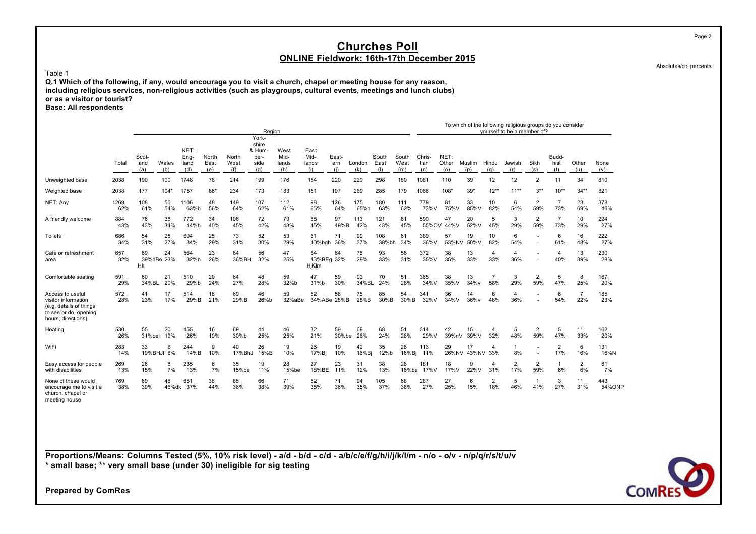Absolutes/col percents

Page 2

#### Table 1

**Q.1 Which of the following, if any, would encourage you to visit a church, chapel or meeting house for any reason, including religious services, non-religious activities (such as playgroups, cultural events, meetings and lunch clubs) or as a visitor or tourist? Base: All respondents**

|                                                                                                                   |             |                      |                  |                             |                      |                      | Region                                          |                              |                              |                     |               |                      |                      |                       |                      |                   |                       | To which of the following religious groups do you consider<br>vourself to be a member of? |                       |                       |                       |               |
|-------------------------------------------------------------------------------------------------------------------|-------------|----------------------|------------------|-----------------------------|----------------------|----------------------|-------------------------------------------------|------------------------------|------------------------------|---------------------|---------------|----------------------|----------------------|-----------------------|----------------------|-------------------|-----------------------|-------------------------------------------------------------------------------------------|-----------------------|-----------------------|-----------------------|---------------|
|                                                                                                                   | Total       | Scot-<br>land<br>(a) | Wales<br>(b)     | NET:<br>Eng-<br>land<br>(d) | North<br>East<br>(e) | North<br>West<br>(f) | York-<br>shire<br>& Hum-<br>ber-<br>side<br>(q) | West<br>Mid-<br>lands<br>(h) | East<br>Mid-<br>lands<br>(i) | East-<br>ern<br>(i) | London<br>(k) | South<br>East<br>(1) | South<br>West<br>(m) | Chris-<br>tian<br>(n) | NET:<br>Other<br>(o) | Muslim<br>(p)     | Hindu<br>(q)          | Jewish<br>(r)                                                                             | Sikh<br>(s)           | Budd-<br>hist<br>(t)  | Other<br>(u)          | None<br>(v)   |
| Unweighted base                                                                                                   | 2038        | 190                  | 100              | 1748                        | 78                   | 214                  | 199                                             | 176                          | 154                          | 220                 | 229           | 298                  | 180                  | 1081                  | 110                  | 39                | 12                    | 12                                                                                        | $\overline{2}$        | 11                    | 34                    | 810           |
| Weighted base                                                                                                     | 2038        | 177                  | $104*$           | 1757                        | 86*                  | 234                  | 173                                             | 183                          | 151                          | 197                 | 269           | 285                  | 179                  | 1066                  | $108*$               | $39*$             | $12***$               | $11***$                                                                                   | $3***$                | $10**$                | $34**$                | 821           |
| NET: Any                                                                                                          | 1269<br>62% | 108<br>61%           | 56<br>54%        | 1106<br>63%b                | 48<br>56%            | 149<br>64%           | 107<br>62%                                      | 112<br>61%                   | 98<br>65%                    | 126<br>64%          | 175<br>65%b   | 180<br>63%           | 111<br>62%           | 779<br>73%V           | 81<br>75%V           | 33<br>85%V        | 10<br>82%             | 6<br>54%                                                                                  | $\overline{2}$<br>59% | $\overline{7}$<br>73% | 23<br>69%             | 378<br>46%    |
| A friendly welcome                                                                                                | 884<br>43%  | 76<br>43%            | 36<br>34%        | 772<br>44%b                 | 34<br>40%            | 106<br>45%           | 72<br>42%                                       | 79<br>43%                    | 68<br>45%                    | 97<br>49%B          | 113<br>42%    | 121<br>43%           | 81<br>45%            | 590                   | 47<br>55%OV 44%V     | 20<br>52%V        | 5<br>45%              | 3<br>29%                                                                                  | $\overline{2}$<br>59% | $\overline{7}$<br>73% | 10<br>29%             | 224<br>27%    |
| <b>Toilets</b>                                                                                                    | 686<br>34%  | 54<br>31%            | 28<br>27%        | 604<br>34%                  | 25<br>29%            | 73<br>31%            | 52<br>30%                                       | 53<br>29%                    | 61<br>40%bgh                 | 71<br>36%           | 99<br>37%     | 108<br>38%bh         | 61<br>34%            | 389<br>36%V           | 57<br>53%NV          | 19<br>50%V        | 10<br>82%             | 6<br>54%                                                                                  | ٠                     | 6<br>61%              | 16<br>48%             | 222<br>27%    |
| Café or refreshment<br>area                                                                                       | 657<br>32%  | 69<br>Hk             | 24<br>39%dBe 23% | 564<br>32%b                 | 23<br>26%            | 84<br>36%BH          | 56<br>32%                                       | 47<br>25%                    | 64<br>43%BEg 32%<br>HjKlm    | 64                  | 78<br>29%     | 93<br>33%            | 56<br>31%            | 372<br>35%V           | 38<br>35%            | 13<br>33%         | 4<br>33%              | $\overline{4}$<br>36%                                                                     |                       | $\overline{4}$<br>40% | 13<br>39%             | 230<br>28%    |
| Comfortable seating                                                                                               | 591<br>29%  | 60<br>34%BL          | 21<br>20%        | 510<br>29%b                 | 20<br>24%            | 64<br>27%            | 48<br>28%                                       | 59<br>32%b                   | 47<br>31%b                   | 59<br>30%           | 92<br>34%BL   | 70<br>24%            | 51<br>28%            | 365<br>34%V           | 38<br>35%V           | 13<br>34%v        | $\overline{7}$<br>58% | 3<br>29%                                                                                  | $\overline{2}$<br>59% | 5<br>47%              | 8<br>25%              | 167<br>20%    |
| Access to useful<br>visitor information<br>(e.g. details of things<br>to see or do, opening<br>hours, directions) | 572<br>28%  | 41<br>23%            | 17<br>17%        | 514<br>29%B                 | 18<br>21%            | 69<br>29%B           | 46<br>26%b                                      | 59<br>32%aBe                 | 52<br>34%ABe 28%B            | 56                  | 75<br>28%B    | 85<br>30%B           | 54<br>30%B           | 341<br>32%V           | 36<br>34%V           | 14<br>36%v        | 6<br>48%              | $\overline{4}$<br>36%                                                                     | ٠                     | 6<br>54%              | $\overline{7}$<br>22% | 185<br>23%    |
| Heating                                                                                                           | 530<br>26%  | 55<br>31%bei         | 20<br>19%        | 455<br>26%                  | 16<br>19%            | 69<br>30%b           | 44<br>25%                                       | 46<br>25%                    | 32<br>21%                    | 59<br>30%be         | 69<br>26%     | 68<br>24%            | 51<br>28%            | 314<br>29%V           | 42<br>39%nV          | 15<br>39%V        | 4<br>32%              | 5<br>48%                                                                                  | $\overline{2}$<br>59% | 5<br>47%              | 11<br>33%             | 162<br>20%    |
| WiFi                                                                                                              | 283<br>14%  | 33                   | 6<br>19%BHJI 6%  | 244<br>14%B                 | 9<br>10%             | 40<br>17%BhJ         | 26<br>15%B                                      | 19<br>10%                    | 26<br>17%Bi                  | 19<br>10%           | 42<br>16%Bi   | 35<br>12%b           | 28<br>16%Bi          | 113<br>11%            | 29                   | 17<br>26%NV 43%NV | 4<br>33%              | $\overline{1}$<br>8%                                                                      | ٠                     | $\overline{2}$<br>17% | 6<br>16%              | 131<br>16%N   |
| Easy access for people<br>with disabilities                                                                       | 269<br>13%  | 26<br>15%            | 8<br>7%          | 235<br>13%                  | 6<br>7%              | 35<br>15%be          | 19<br>11%                                       | 28<br>15%be                  | 27<br>18%BE                  | 23<br>11%           | 31<br>12%     | 38<br>13%            | 28<br>16%be          | 181<br>17%V           | 18<br>17%V           | 9<br>22%V         | 4<br>31%              | $\overline{2}$<br>17%                                                                     | $\overline{2}$<br>59% | $\mathbf{1}$<br>6%    | $\overline{2}$<br>6%  | 61<br>7%      |
| None of these would<br>encourage me to visit a<br>church, chapel or<br>meeting house                              | 769<br>38%  | 69<br>39%            | 48<br>46%dk      | 651<br>37%                  | 38<br>44%            | 85<br>36%            | 66<br>38%                                       | 71<br>39%                    | 52<br>35%                    | 71<br>36%           | 94<br>35%     | 105<br>37%           | 68<br>38%            | 287<br>27%            | 27<br>25%            | 6<br>15%          | 2<br>18%              | 5<br>46%                                                                                  | $\overline{1}$<br>41% | 3<br>27%              | 11<br>31%             | 443<br>54%ONP |

**Proportions/Means: Columns Tested (5%, 10% risk level) - a/d - b/d - c/d - a/b/c/e/f/g/h/i/j/k/l/m - n/o - o/v - n/p/q/r/s/t/u/v \* small base; \*\* very small base (under 30) ineligible for sig testing**

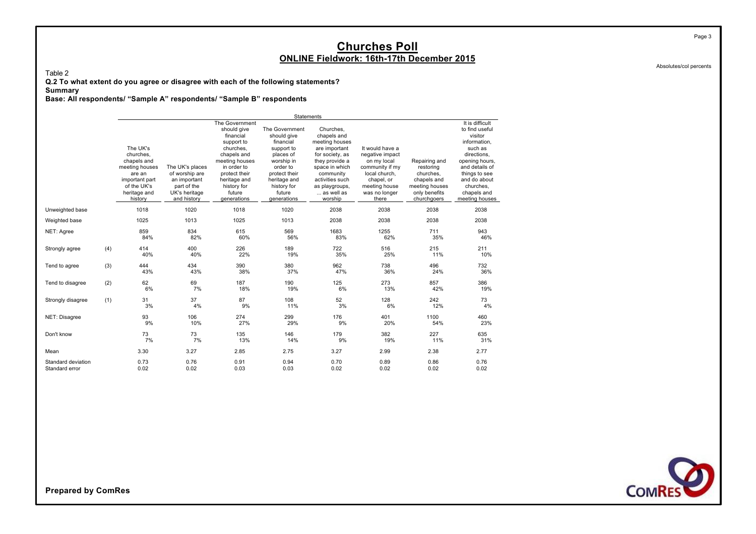Table 2

**Q.2 To what extent do you agree or disagree with each of the following statements?**

**Summary**

**Base: All respondents/ "Sample A" respondents/ "Sample B" respondents**

|                                      |     |                                                                                                                              |                                                                                                  |                                                                                                                                                                                                       | Statements                                                                                                                                                               |                                                                                                                                                                                               |                                                                                                                                                |                                                                                                          |                                                                                                                                                                                                           |
|--------------------------------------|-----|------------------------------------------------------------------------------------------------------------------------------|--------------------------------------------------------------------------------------------------|-------------------------------------------------------------------------------------------------------------------------------------------------------------------------------------------------------|--------------------------------------------------------------------------------------------------------------------------------------------------------------------------|-----------------------------------------------------------------------------------------------------------------------------------------------------------------------------------------------|------------------------------------------------------------------------------------------------------------------------------------------------|----------------------------------------------------------------------------------------------------------|-----------------------------------------------------------------------------------------------------------------------------------------------------------------------------------------------------------|
|                                      |     | The UK's<br>churches.<br>chapels and<br>meeting houses<br>are an<br>important part<br>of the UK's<br>heritage and<br>history | The UK's places<br>of worship are<br>an important<br>part of the<br>UK's heritage<br>and history | The Government<br>should give<br>financial<br>support to<br>churches,<br>chapels and<br>meeting houses<br>in order to<br>protect their<br>heritage and<br>history for<br>future<br><i>generations</i> | The Government<br>should give<br>financial<br>support to<br>places of<br>worship in<br>order to<br>protect their<br>heritage and<br>history for<br>future<br>generations | Churches.<br>chapels and<br>meeting houses<br>are important<br>for society, as<br>they provide a<br>space in which<br>community<br>activities such<br>as playgroups,<br>as well as<br>worship | It would have a<br>negative impact<br>on my local<br>community if my<br>local church.<br>chapel, or<br>meeting house<br>was no longer<br>there | Repairing and<br>restoring<br>churches.<br>chapels and<br>meeting houses<br>only benefits<br>churchgoers | It is difficult<br>to find useful<br>visitor<br>information,<br>such as<br>directions,<br>opening hours,<br>and details of<br>things to see<br>and do about<br>churches.<br>chapels and<br>meeting houses |
| Unweighted base                      |     | 1018                                                                                                                         | 1020                                                                                             | 1018                                                                                                                                                                                                  | 1020                                                                                                                                                                     | 2038                                                                                                                                                                                          | 2038                                                                                                                                           | 2038                                                                                                     | 2038                                                                                                                                                                                                      |
| Weighted base                        |     | 1025                                                                                                                         | 1013                                                                                             | 1025                                                                                                                                                                                                  | 1013                                                                                                                                                                     | 2038                                                                                                                                                                                          | 2038                                                                                                                                           | 2038                                                                                                     | 2038                                                                                                                                                                                                      |
| NET: Agree                           |     | 859<br>84%                                                                                                                   | 834<br>82%                                                                                       | 615<br>60%                                                                                                                                                                                            | 569<br>56%                                                                                                                                                               | 1683<br>83%                                                                                                                                                                                   | 1255<br>62%                                                                                                                                    | 711<br>35%                                                                                               | 943<br>46%                                                                                                                                                                                                |
| Strongly agree                       | (4) | 414<br>40%                                                                                                                   | 400<br>40%                                                                                       | 226<br>22%                                                                                                                                                                                            | 189<br>19%                                                                                                                                                               | 722<br>35%                                                                                                                                                                                    | 516<br>25%                                                                                                                                     | 215<br>11%                                                                                               | 211<br>10%                                                                                                                                                                                                |
| Tend to agree                        | (3) | 444<br>43%                                                                                                                   | 434<br>43%                                                                                       | 390<br>38%                                                                                                                                                                                            | 380<br>37%                                                                                                                                                               | 962<br>47%                                                                                                                                                                                    | 738<br>36%                                                                                                                                     | 496<br>24%                                                                                               | 732<br>36%                                                                                                                                                                                                |
| Tend to disagree                     | (2) | 62<br>6%                                                                                                                     | 69<br>7%                                                                                         | 187<br>18%                                                                                                                                                                                            | 190<br>19%                                                                                                                                                               | 125<br>6%                                                                                                                                                                                     | 273<br>13%                                                                                                                                     | 857<br>42%                                                                                               | 386<br>19%                                                                                                                                                                                                |
| Strongly disagree                    | (1) | 31<br>3%                                                                                                                     | 37<br>4%                                                                                         | 87<br>9%                                                                                                                                                                                              | 108<br>11%                                                                                                                                                               | 52<br>3%                                                                                                                                                                                      | 128<br>6%                                                                                                                                      | 242<br>12%                                                                                               | 73<br>4%                                                                                                                                                                                                  |
| NET: Disagree                        |     | 93<br>9%                                                                                                                     | 106<br>10%                                                                                       | 274<br>27%                                                                                                                                                                                            | 299<br>29%                                                                                                                                                               | 176<br>9%                                                                                                                                                                                     | 401<br>20%                                                                                                                                     | 1100<br>54%                                                                                              | 460<br>23%                                                                                                                                                                                                |
| Don't know                           |     | 73<br>7%                                                                                                                     | 73<br>7%                                                                                         | 135<br>13%                                                                                                                                                                                            | 146<br>14%                                                                                                                                                               | 179<br>9%                                                                                                                                                                                     | 382<br>19%                                                                                                                                     | 227<br>11%                                                                                               | 635<br>31%                                                                                                                                                                                                |
| Mean                                 |     | 3.30                                                                                                                         | 3.27                                                                                             | 2.85                                                                                                                                                                                                  | 2.75                                                                                                                                                                     | 3.27                                                                                                                                                                                          | 2.99                                                                                                                                           | 2.38                                                                                                     | 2.77                                                                                                                                                                                                      |
| Standard deviation<br>Standard error |     | 0.73<br>0.02                                                                                                                 | 0.76<br>0.02                                                                                     | 0.91<br>0.03                                                                                                                                                                                          | 0.94<br>0.03                                                                                                                                                             | 0.70<br>0.02                                                                                                                                                                                  | 0.89<br>0.02                                                                                                                                   | 0.86<br>0.02                                                                                             | 0.76<br>0.02                                                                                                                                                                                              |

**COMRES** 

**Prepared by ComRes**

Absolutes/col percents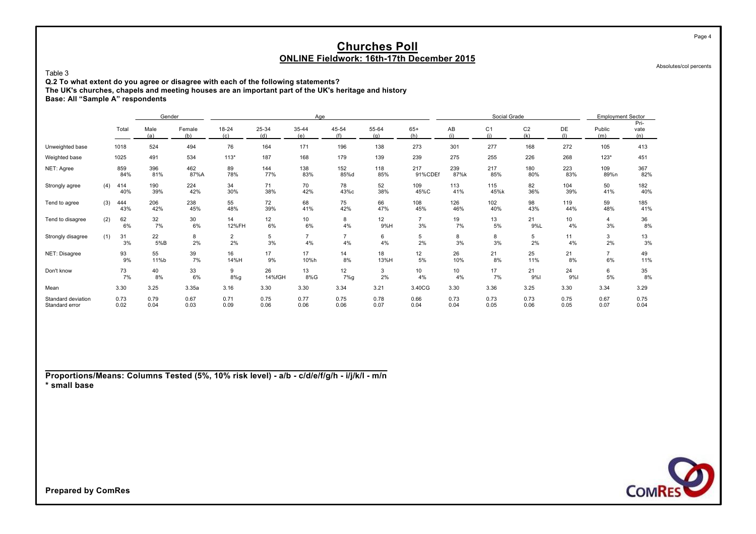Absolutes/col percents

Table 3

**Q.2 To what extent do you agree or disagree with each of the following statements?**

**The UK's churches, chapels and meeting houses are an important part of the UK's heritage and history**

**Base: All "Sample A" respondents**

|                                      |     |              | Gender       |               |                  |              | Age                   |                      |              |                      |              | Social Grade          |                       |              | <b>Employment Sector</b> |                                          |
|--------------------------------------|-----|--------------|--------------|---------------|------------------|--------------|-----------------------|----------------------|--------------|----------------------|--------------|-----------------------|-----------------------|--------------|--------------------------|------------------------------------------|
|                                      |     | Total        | Male<br>(a)  | Female<br>(b) | $18 - 24$<br>(c) | 25-34<br>(d) | 35-44<br>(e)          | 45-54<br>(f)         | 55-64<br>(a) | $65+$<br>(h)         | AB<br>(i)    | C <sub>1</sub><br>(i) | C <sub>2</sub><br>(k) | DE<br>(1)    | Public<br>(m)            | Pri-<br>vate<br>(n)                      |
| Unweighted base                      |     | 1018         | 524          | 494           | 76               | 164          | 171                   | 196                  | 138          | 273                  | 301          | 277                   | 168                   | 272          | 105                      | 413                                      |
| Weighted base                        |     | 1025         | 491          | 534           | $113*$           | 187          | 168                   | 179                  | 139          | 239                  | 275          | 255                   | 226                   | 268          | $123*$                   | 451                                      |
| NET: Agree                           |     | 859<br>84%   | 396<br>81%   | 462<br>87%A   | 89<br>78%        | 144<br>77%   | 138<br>83%            | 152<br>85%d          | 118<br>85%   | 217<br>91%CDEf       | 239<br>87%k  | 217<br>85%            | 180<br>80%            | 223<br>83%   | 109<br>89%n              | 367<br>82%                               |
| Strongly agree                       | (4) | 414<br>40%   | 190<br>39%   | 224<br>42%    | 34<br>30%        | 71<br>38%    | 70<br>42%             | 78<br>43%с           | 52<br>38%    | 109<br>45%C          | 113<br>41%   | 115<br>45%k           | 82<br>36%             | 104<br>39%   | 50<br>41%                | 182<br>40%                               |
| Tend to agree                        | (3) | 444<br>43%   | 206<br>42%   | 238<br>45%    | 55<br>48%        | 72<br>39%    | 68<br>41%             | 75<br>42%            | 66<br>47%    | 108<br>45%           | 126<br>46%   | 102<br>40%            | 98<br>43%             | 119<br>44%   | 59<br>48%                | 185<br>41%                               |
| Tend to disagree                     | (2) | 62<br>6%     | 32<br>7%     | $30\,$<br>6%  | 14<br>12%FH      | 12<br>6%     | 10 <sub>1</sub><br>6% | 8<br>4%              | 12<br>9%H    | $\overline{7}$<br>3% | 19<br>7%     | 13<br>5%              | 21<br>9%L             | 10<br>4%     | 4<br>3%                  | $\frac{36}{8\%}$                         |
| Strongly disagree                    | (1) | 31<br>3%     | 22<br>5%B    | 8<br>2%       | $\frac{2}{2\%}$  | 5<br>3%      | $\overline{7}$<br>4%  | $\overline{7}$<br>4% | 6<br>4%      | 5<br>2%              | 8<br>3%      | 8<br>3%               | 5<br>2%               | 11<br>4%     | 3<br>2%                  | $\begin{array}{c} 13 \\ 3\% \end{array}$ |
| NET: Disagree                        |     | 93<br>9%     | 55<br>11%b   | 39<br>7%      | 16<br>14%H       | 17<br>9%     | 17<br>10%h            | 14<br>8%             | 18<br>13%H   | 12<br>5%             | 26<br>10%    | 21<br>8%              | 25<br>11%             | 21<br>8%     | $\overline{7}$<br>6%     | 49<br>11%                                |
| Don't know                           |     | 73<br>7%     | 40<br>8%     | 33<br>6%      | 9<br>8%g         | 26<br>14%fGH | 13<br>8%G             | 12<br>7%g            | 3<br>2%      | 10<br>4%             | 10<br>4%     | 17<br>7%              | 21<br>9%              | 24<br>9%     | 6<br>5%                  | 35<br>8%                                 |
| Mean                                 |     | 3.30         | 3.25         | 3.35a         | 3.16             | 3.30         | 3.30                  | 3.34                 | 3.21         | 3.40CG               | 3.30         | 3.36                  | 3.25                  | 3.30         | 3.34                     | 3.29                                     |
| Standard deviation<br>Standard error |     | 0.73<br>0.02 | 0.79<br>0.04 | 0.67<br>0.03  | 0.71<br>0.09     | 0.75<br>0.06 | 0.77<br>0.06          | 0.75<br>0.06         | 0.78<br>0.07 | 0.66<br>0.04         | 0.73<br>0.04 | 0.73<br>0.05          | 0.73<br>0.06          | 0.75<br>0.05 | 0.67<br>0.07             | 0.75<br>0.04                             |

**Proportions/Means: Columns Tested (5%, 10% risk level) - a/b - c/d/e/f/g/h - i/j/k/l - m/n \* small base**



**Prepared by ComRes**

Page 4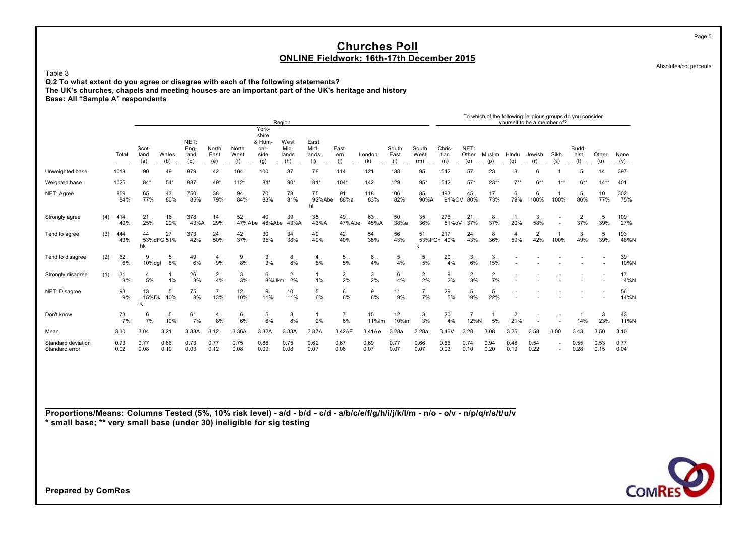Table 3

**Q.2 To what extent do you agree or disagree with each of the following statements? The UK's churches, chapels and meeting houses are an important part of the UK's heritage and history Base: All "Sample A" respondents**

|                    |     |       |             |              |             |                |             | Region      |                |              |                |               |             |                |             |                |                |                | yourself to be a member of? |             | To which of the following religious groups do you consider |              |             |
|--------------------|-----|-------|-------------|--------------|-------------|----------------|-------------|-------------|----------------|--------------|----------------|---------------|-------------|----------------|-------------|----------------|----------------|----------------|-----------------------------|-------------|------------------------------------------------------------|--------------|-------------|
|                    |     |       |             |              |             |                |             | York-       |                |              |                |               |             |                |             |                |                |                |                             |             |                                                            |              |             |
|                    |     |       |             |              |             |                |             | shire       |                |              |                |               |             |                |             |                |                |                |                             |             |                                                            |              |             |
|                    |     |       |             |              | NET:        |                |             | & Hum       | West           | East         |                |               |             |                |             |                |                |                |                             |             |                                                            |              |             |
|                    |     |       | Scot-       |              | Eng-        | North          | North       | ber-        | Mid-           | Mid-         | East-          |               | South       | South          | Chris-      | NET:           |                |                |                             |             | Budd-                                                      |              |             |
|                    |     | Total | land<br>(a) | Wales<br>(b) | land<br>(d) | East<br>(e)    | West<br>(f) | side<br>(q) | lands<br>(h)   | lands<br>(i) | ern<br>(i)     | London<br>(k) | East<br>(1) | West<br>(m)    | tian<br>(n) | Other<br>(0)   | Muslim<br>(p)  | Hindu<br>(g)   | Jewish<br>(r)               | Sikh<br>(s) | hist<br>(t)                                                | Other<br>(u) | None<br>(v) |
| Unweighted base    |     | 1018  | 90          | 49           | 879         | 42             | 104         | 100         | 87             | 78           | 114            | 121           | 138         | 95             | 542         | 57             | 23             | 8              | 6                           |             | 5                                                          | 14           | 397         |
| Weighted base      |     | 1025  | $84*$       | $54*$        | 887         | 49*            | $112*$      | $84*$       | $90*$          | $81*$        | $104*$         | 142           | 129         | $95*$          | 542         | $57*$          | $23**$         | $7***$         | $6***$                      | $1**$       | $6***$                                                     | $14**$       | 401         |
| NET: Agree         |     | 859   | 65          | 43           | 750         | 38             | 94          | 70          | 73             | 75           | 91             | 118           | 106         | 85             | 493         | 45             | 17             | 6              | 6                           |             | 5                                                          | 10           | 302         |
|                    |     | 84%   | 77%         | 80%          | 85%         | 79%            | 84%         | 83%         | 81%            | 92%Abe       | 88%a           | 83%           | 82%         | 90%A           |             | 91%OV 80%      | 73%            | 79%            | 100%                        | 100%        | 86%                                                        | 77%          | 75%         |
|                    |     |       |             |              |             |                |             |             |                | hl           |                |               |             |                |             |                |                |                |                             |             |                                                            |              |             |
| Strongly agree     | (4) | 414   | 21          | 16           | 378         | 14             | 52          | 40          | 39             | 35           | 49             | 63            | 50          | 35             | 276         | 21             | 8              |                | 3                           |             | $\overline{2}$                                             | 5            | 109         |
|                    |     | 40%   | 25%         | 29%          | 43%A        | 29%            | 47%Abe      | 48%Abe      | 43%A           | 43%A         | 47%Abe         | 45%A          | 38%a        | 36%            | 51%oV       | 37%            | 37%            | 20%            | 58%                         |             | 37%                                                        | 39%          | 27%         |
| Tend to agree      | (3) | 444   | 44          | 27           | 373         | 24             | 42          | 30          | 34             | 40           | 42             | 54            | 56          | 51             | 217         | 24             | 8              | $\overline{4}$ | $\overline{2}$              |             | 3                                                          | 5            | 193         |
|                    |     | 43%   |             | 53%dFG 51%   | 42%         | 50%            | 37%         | 35%         | 38%            | 49%          | 40%            | 38%           | 43%         |                | 53%FGh 40%  | 43%            | 36%            | 59%            | 42%                         | 100%        | 49%                                                        | 39%          | 48%N        |
|                    |     |       | hk          |              |             |                |             |             |                |              |                |               |             |                |             |                |                |                |                             |             |                                                            |              |             |
| Tend to disagree   | (2) | 62    | 9           | 5            | 49          | 4              | 9           | 3           | 8              | 4            | 5              | 6             | 5           | 5              | 20          | 3              | 3              |                |                             |             |                                                            |              | 39          |
|                    |     | 6%    | 10%dgl      | 8%           | 6%          | 9%             | 8%          | 3%          | 8%             | 5%           | 5%             | 4%            | 4%          | 5%             | 4%          | 6%             | 15%            |                |                             |             |                                                            |              | 10%N        |
| Strongly disagree  | (1) | 31    | 4           | $\mathbf{1}$ | 26          | $\overline{2}$ | 3           | 6           | $\overline{2}$ |              | $\overline{2}$ | 3             | 6           | $\overline{2}$ | 9           | $\overline{a}$ | $\overline{2}$ |                |                             |             |                                                            |              | 17          |
|                    |     | 3%    | 5%          | $1\%$        | 3%          | 4%             | 3%          | 8%iJkm      | 2%             | 1%           | 2%             | 2%            | 4%          | 2%             | 2%          | 3%             | 7%             |                |                             |             |                                                            |              | 4%N         |
| NET: Disagree      |     | 93    | 13          | 5            | 75          | $\overline{7}$ | 12          | 9           | 10             | 5            | 6              | 9             | 11          | $\overline{7}$ | 29          | 5              | 5              |                |                             |             |                                                            |              | 56          |
|                    |     | 9%    | 15%DiJ      | 10%          | 8%          | 13%            | 10%         | 11%         | 11%            | 6%           | 6%             | 6%            | 9%          | 7%             | 5%          | 9%             | 22%            |                |                             |             |                                                            |              | 14%N        |
|                    |     |       | K           |              |             |                |             |             |                |              |                |               |             |                |             |                |                |                |                             |             |                                                            |              |             |
| Don't know         |     | 73    | 6           | 5            | 61          | 4              | 6           | 5           | 8              |              | $\overline{7}$ | 15            | 12          | 3              | 20          |                |                | $\overline{2}$ |                             |             |                                                            | 3            | 43          |
|                    |     | 7%    | 7%          | 10%i         | 7%          | 8%             | 6%          | 6%          | 8%             | 2%           | 6%             | 11%lm         | 10%im       | 3%             | 4%          | 12%N           | 5%             | 21%            |                             |             | 14%                                                        | 23%          | 11%N        |
| Mean               |     | 3.30  | 3.04        | 3.21         | 3.33A       | 3.12           | 3.36A       | 3.32A       | 3.33A          | 3.37A        | 3.42AE         | 3.41Ae        | 3.28a       | 3.28a          | 3.46V       | 3.28           | 3.08           | 3.25           | 3.58                        | 3.00        | 3.43                                                       | 3.50         | 3.10        |
| Standard deviation |     | 0.73  | 0.77        | 0.66         | 0.73        | 0.77           | 0.75        | 0.88        | 0.75           | 0.62         | 0.67           | 0.69          | 0.77        | 0.66           | 0.66        | 0.74           | 0.94           | 0.48           | 0.54                        |             | 0.55                                                       | 0.53         | 0.77        |
| Standard error     |     | 0.02  | 0.08        | 0.10         | 0.03        | 0.12           | 0.08        | 0.09        | 0.08           | 0.07         | 0.06           | 0.07          | 0.07        | 0.07           | 0.03        | 0.10           | 0.20           | 0.19           | 0.22                        |             | 0.28                                                       | 0.15         | 0.04        |

**Proportions/Means: Columns Tested (5%, 10% risk level) - a/d - b/d - c/d - a/b/c/e/f/g/h/i/j/k/l/m - n/o - o/v - n/p/q/r/s/t/u/v \* small base; \*\* very small base (under 30) ineligible for sig testing**



Absolutes/col percents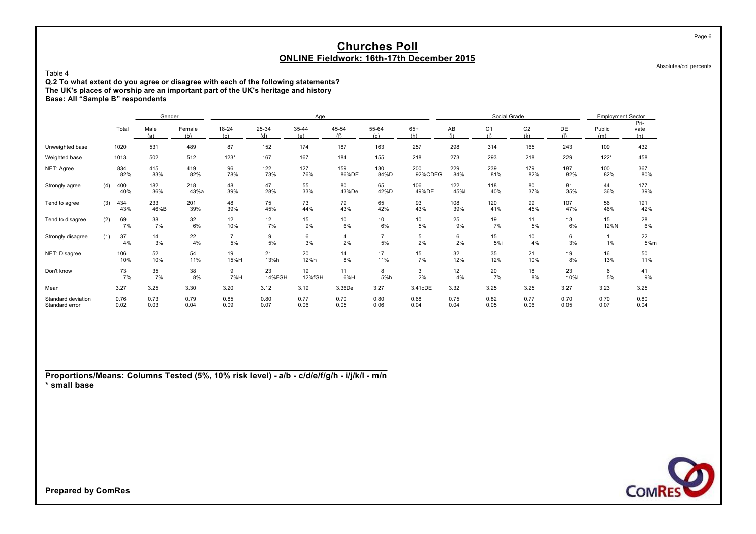Absolutes/col percents

Page 6

#### Table 4

**Q.2 To what extent do you agree or disagree with each of the following statements? The UK's places of worship are an important part of the UK's heritage and history Base: All "Sample B" respondents**

|                                      |     |              | Gender       |               |                      |              | Age          |              |                       |                |              | Social Grade          |                       |              | <b>Employment Sector</b> |                     |
|--------------------------------------|-----|--------------|--------------|---------------|----------------------|--------------|--------------|--------------|-----------------------|----------------|--------------|-----------------------|-----------------------|--------------|--------------------------|---------------------|
|                                      |     | Total        | Male<br>(a)  | Female<br>(b) | $18 - 24$<br>(c)     | 25-34<br>(d) | 35-44<br>(e) | 45-54<br>(f) | 55-64<br>(a)          | $65+$<br>(h)   | AB<br>(i)    | C <sub>1</sub><br>(i) | C <sub>2</sub><br>(k) | DE<br>(1)    | Public<br>(m)            | Pri-<br>vate<br>(n) |
| Unweighted base                      |     | 1020         | 531          | 489           | 87                   | 152          | 174          | 187          | 163                   | 257            | 298          | 314                   | 165                   | 243          | 109                      | 432                 |
| Weighted base                        |     | 1013         | 502          | 512           | $123*$               | 167          | 167          | 184          | 155                   | 218            | 273          | 293                   | 218                   | 229          | $122*$                   | 458                 |
| NET: Agree                           |     | 834<br>82%   | 415<br>83%   | 419<br>82%    | 96<br>78%            | 122<br>73%   | 127<br>76%   | 159<br>86%DE | 130<br>84%D           | 200<br>92%CDEG | 229<br>84%   | 239<br>81%            | 179<br>82%            | 187<br>82%   | 100<br>82%               | 367<br>80%          |
| Strongly agree                       | (4) | 400<br>40%   | 182<br>36%   | 218<br>43%a   | 48<br>39%            | 47<br>28%    | 55<br>33%    | 80<br>43%De  | 65<br>42%D            | 106<br>49%DE   | 122<br>45%L  | 118<br>40%            | 80<br>37%             | 81<br>35%    | 44<br>36%                | 177<br>39%          |
| Tend to agree                        | (3) | 434<br>43%   | 233<br>46%B  | 201<br>39%    | 48<br>39%            | 75<br>45%    | 73<br>44%    | 79<br>43%    | 65<br>42%             | 93<br>43%      | 108<br>39%   | 120<br>41%            | 99<br>45%             | 107<br>47%   | 56<br>46%                | 191<br>42%          |
| Tend to disagree                     | (2) | 69<br>7%     | 38<br>7%     | 32<br>6%      | 12<br>10%            | 12<br>7%     | 15<br>9%     | 10<br>6%     | 10 <sup>1</sup><br>6% | 10<br>5%       | 25<br>9%     | 19<br>7%              | 11<br>5%              | 13<br>6%     | 15<br>12%N               | $\frac{28}{6\%}$    |
| Strongly disagree                    | (1) | 37<br>4%     | 14<br>3%     | 22<br>4%      | $\overline{7}$<br>5% | 9<br>5%      | 6<br>3%      | 4<br>2%      | $\overline{7}$<br>5%  | 5<br>2%        | 6<br>2%      | 15<br>5%i             | 10<br>4%              | 6<br>3%      | $1\%$                    | 22<br>5%m           |
| NET: Disagree                        |     | 106<br>10%   | 52<br>10%    | 54<br>11%     | 19<br>15%H           | 21<br>13%h   | 20<br>12%h   | 14<br>8%     | 17<br>11%             | 15<br>7%       | 32<br>12%    | 35<br>12%             | 21<br>10%             | 19<br>8%     | 16<br>13%                | 50<br>11%           |
| Don't know                           |     | 73<br>7%     | 35<br>7%     | 38<br>8%      | 9<br>7%H             | 23<br>14%FGH | 19<br>12%fGH | 11<br>6%H    | 8<br>5%h              | 3<br>2%        | 12<br>4%     | 20<br>7%              | 18<br>8%              | 23<br>10%I   | 6<br>5%                  | 41<br>9%            |
| Mean                                 |     | 3.27         | 3.25         | 3.30          | 3.20                 | 3.12         | 3.19         | 3.36De       | 3.27                  | 3.41cDE        | 3.32         | 3.25                  | 3.25                  | 3.27         | 3.23                     | 3.25                |
| Standard deviation<br>Standard error |     | 0.76<br>0.02 | 0.73<br>0.03 | 0.79<br>0.04  | 0.85<br>0.09         | 0.80<br>0.07 | 0.77<br>0.06 | 0.70<br>0.05 | 0.80<br>0.06          | 0.68<br>0.04   | 0.75<br>0.04 | 0.82<br>0.05          | 0.77<br>0.06          | 0.70<br>0.05 | 0.70<br>0.07             | 0.80<br>0.04        |

**Proportions/Means: Columns Tested (5%, 10% risk level) - a/b - c/d/e/f/g/h - i/j/k/l - m/n \* small base**

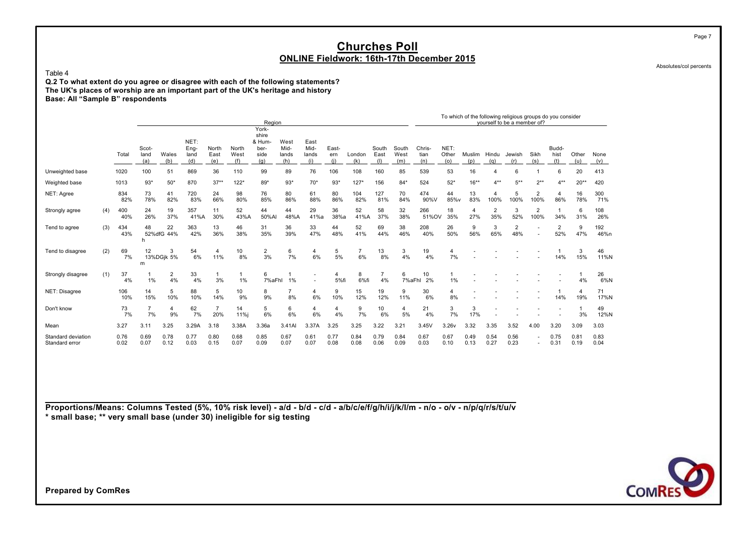Absolutes/col percents

Page 7

Table 4 **Q.2 To what extent do you agree or disagree with each of the following statements? The UK's places of worship are an important part of the UK's heritage and history Base: All "Sample B" respondents**

|                                      |     |              |                      |                  |                             |                       |                      | Region                                         |                              |                              |                     |                      |                      |                      |                       |                      |                       | To which of the following religious groups do you consider<br>yourself to be a member of? |                       |                        |                       |              |              |
|--------------------------------------|-----|--------------|----------------------|------------------|-----------------------------|-----------------------|----------------------|------------------------------------------------|------------------------------|------------------------------|---------------------|----------------------|----------------------|----------------------|-----------------------|----------------------|-----------------------|-------------------------------------------------------------------------------------------|-----------------------|------------------------|-----------------------|--------------|--------------|
|                                      |     | Total        | Scot-<br>land<br>(a) | Wales<br>(b)     | NET:<br>Eng-<br>land<br>(d) | North<br>East<br>(e)  | North<br>West<br>(f) | York-<br>shire<br>& Hum<br>ber-<br>side<br>(q) | West<br>Mid-<br>lands<br>(h) | East<br>Mid-<br>lands<br>(i) | East-<br>ern<br>(i) | London<br>(k)        | South<br>East<br>(1) | South<br>West<br>(m) | Chris-<br>tian<br>(n) | NET:<br>Other<br>(0) | Muslim<br>(p)         | Hindu<br>(q)                                                                              | Jewish<br>(r)         | Sikh<br>(s)            | Budd-<br>hist<br>(t)  | Other<br>(u) | None<br>(v)  |
| Unweighted base                      |     | 1020         | 100                  | 51               | 869                         | 36                    | 110                  | 99                                             | 89                           | 76                           | 106                 | 108                  | 160                  | 85                   | 539                   | 53                   | 16                    |                                                                                           | 6                     |                        | 6                     | 20           | 413          |
| Weighted base                        |     | 1013         | $93*$                | $50*$            | 870                         | $37**$                | $122*$               | $89*$                                          | $93*$                        | $70*$                        | $93*$               | $127*$               | 156                  | $84*$                | 524                   | $52*$                | $16***$               | $4***$                                                                                    | $5***$                | $2**$                  | $4**$                 | $20**$       | 420          |
| NET: Agree                           |     | 834<br>82%   | 73<br>78%            | 41<br>82%        | 720<br>83%                  | 24<br>66%             | 98<br>80%            | 76<br>85%                                      | 80<br>86%                    | 61<br>88%                    | 80<br>86%           | 104<br>82%           | 127<br>81%           | 70<br>84%            | 474<br>90%V           | 44<br>85%v           | 13<br>83%             | 4<br>100%                                                                                 | 5<br>100%             | $\overline{2}$<br>100% | $\overline{4}$<br>86% | 16<br>78%    | 300<br>71%   |
| Strongly agree                       | (4) | 400<br>40%   | 24<br>26%            | 19<br>37%        | 357<br>41%A                 | 11<br>30%             | 52<br>43%A           | 44<br>50%AI                                    | 44<br>48%A                   | 29<br>41%a                   | 36<br>38%a          | 52<br>41%A           | 58<br>37%            | 32<br>38%            | 266<br>51%OV          | 18<br>35%            | $\overline{4}$<br>27% | $\overline{2}$<br>35%                                                                     | 3<br>52%              | 2<br>100%              | 34%                   | 6<br>31%     | 108<br>26%   |
| Tend to agree                        | (3) | 434<br>43%   | 48                   | 22<br>52%dfG 44% | 363<br>42%                  | 13<br>36%             | 46<br>38%            | 31<br>35%                                      | 36<br>39%                    | 33<br>47%                    | 44<br>48%           | 52<br>41%            | 69<br>44%            | 38<br>46%            | 208<br>40%            | 26<br>50%            | 9<br>56%              | 3<br>65%                                                                                  | $\overline{2}$<br>48% |                        | $\overline{2}$<br>52% | 9<br>47%     | 192<br>46%n  |
| Tend to disagree                     | (2) | 69<br>7%     | 12<br>m              | 3<br>13%DGjk 5%  | 54<br>6%                    | 4<br>11%              | 10<br>8%             | 2<br>3%                                        | 6<br>7%                      | $\overline{4}$<br>6%         | 5<br>5%             | $\overline{7}$<br>6% | 13<br>8%             | 3<br>4%              | 19<br>4%              | $\overline{4}$<br>7% |                       |                                                                                           |                       |                        | 14%                   | 3<br>15%     | 46<br>11%N   |
| Strongly disagree                    | (1) | 37<br>4%     | 1%                   | 2<br>4%          | 33<br>4%                    | 3%                    | 1%                   | 6<br>7%aFhl                                    | 1%                           |                              | 4<br>5%fi           | 8<br>6%fi            | $\overline{7}$<br>4% | 6<br>7%aFhl          | 10<br>2%              | 1%                   |                       |                                                                                           |                       |                        |                       | 4%           | 26<br>6%N    |
| NET: Disagree                        |     | 106<br>10%   | 14<br>15%            | 5<br>10%         | 88<br>10%                   | 5<br>14%              | 10<br>9%             | 8<br>9%                                        | 8%                           | 4<br>6%                      | 9<br>10%            | 15<br>12%            | 19<br>12%            | 9<br>11%             | 30<br>6%              | $\overline{4}$<br>8% |                       |                                                                                           |                       |                        | 14%                   | 4<br>19%     | 71<br>17%N   |
| Don't know                           |     | 73<br>7%     | $\overline{7}$<br>7% | 4<br>9%          | 62<br>7%                    | $\overline{7}$<br>20% | 14<br>11%i           | 5<br>6%                                        | 6<br>6%                      | $\overline{4}$<br>6%         | 4<br>4%             | 9<br>7%              | 10<br>6%             | $\overline{4}$<br>5% | 21<br>4%              | 3<br>7%              | 3<br>17%              |                                                                                           |                       |                        |                       | 3%           | 49<br>12%N   |
| Mean                                 |     | 3.27         | 3.11                 | 3.25             | 3.29A                       | 3.18                  | 3.38A                | 3.36a                                          | 3.41AI                       | 3.37A                        | 3.25                | 3.25                 | 3.22                 | 3.21                 | 3.45V                 | 3.26v                | 3.32                  | 3.35                                                                                      | 3.52                  | 4.00                   | 3.20                  | 3.09         | 3.03         |
| Standard deviation<br>Standard error |     | 0.76<br>0.02 | 0.69<br>0.07         | 0.78<br>0.12     | 0.77<br>0.03                | 0.80<br>0.15          | 0.68<br>0.07         | 0.85<br>0.09                                   | 0.67<br>0.07                 | 0.61<br>0.07                 | 0.77<br>0.08        | 0.84<br>0.08         | 0.79<br>0.06         | 0.84<br>0.09         | 0.67<br>0.03          | 0.67<br>0.10         | 0.49<br>0.13          | 0.54<br>0.27                                                                              | 0.56<br>0.23          |                        | 0.75<br>0.31          | 0.81<br>0.19 | 0.83<br>0.04 |

**Proportions/Means: Columns Tested (5%, 10% risk level) - a/d - b/d - c/d - a/b/c/e/f/g/h/i/j/k/l/m - n/o - o/v - n/p/q/r/s/t/u/v \* small base; \*\* very small base (under 30) ineligible for sig testing**

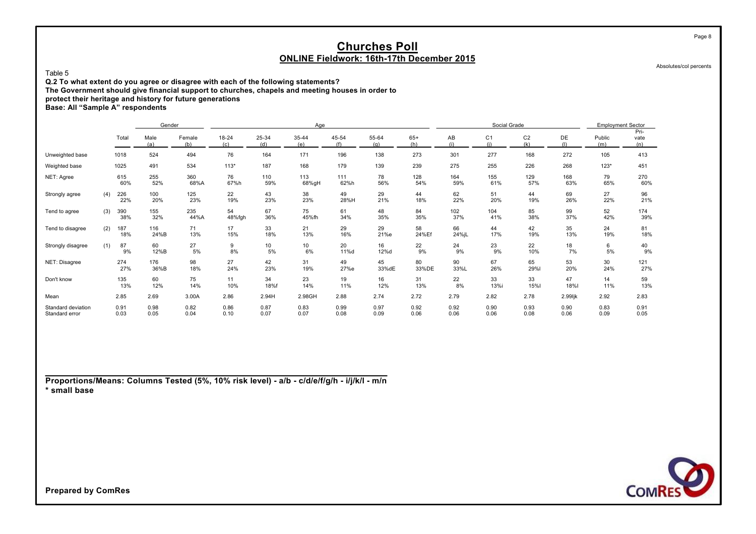Absolutes/col percents

Page 8

Table 5

**Q.2 To what extent do you agree or disagree with each of the following statements?**

**The Government should give financial support to churches, chapels and meeting houses in order to**

**protect their heritage and history for future generations**

**Base: All "Sample A" respondents**

|                                      |     |              | Gender       |               |                  |              | Age          |              |              |              |              | Social Grade          |                       |              | <b>Employment Sector</b> |                     |
|--------------------------------------|-----|--------------|--------------|---------------|------------------|--------------|--------------|--------------|--------------|--------------|--------------|-----------------------|-----------------------|--------------|--------------------------|---------------------|
|                                      |     | Total        | Male<br>(a)  | Female<br>(b) | $18 - 24$<br>(c) | 25-34<br>(d) | 35-44<br>(e) | 45-54<br>(f) | 55-64<br>(a) | $65+$<br>(h) | AB<br>(i)    | C <sub>1</sub><br>(i) | C <sub>2</sub><br>(k) | DE           | Public<br>(m)            | Pri-<br>vate<br>(n) |
| Unweighted base                      |     | 1018         | 524          | 494           | 76               | 164          | 171          | 196          | 138          | 273          | 301          | 277                   | 168                   | 272          | 105                      | 413                 |
| Weighted base                        |     | 1025         | 491          | 534           | $113*$           | 187          | 168          | 179          | 139          | 239          | 275          | 255                   | 226                   | 268          | $123*$                   | 451                 |
| NET: Agree                           |     | 615<br>60%   | 255<br>52%   | 360<br>68%A   | 76<br>67%h       | 110<br>59%   | 113<br>68%gH | 111<br>62%h  | 78<br>56%    | 128<br>54%   | 164<br>59%   | 155<br>61%            | 129<br>57%            | 168<br>63%   | 79<br>65%                | 270<br>60%          |
| Strongly agree                       | (4) | 226<br>22%   | 100<br>20%   | 125<br>23%    | 22<br>19%        | 43<br>23%    | 38<br>23%    | 49<br>28%H   | 29<br>21%    | 44<br>18%    | 62<br>22%    | 51<br>20%             | 44<br>19%             | 69<br>26%    | 27<br>22%                | 96<br>21%           |
| Tend to agree                        | (3) | 390<br>38%   | 155<br>32%   | 235<br>44%A   | 54<br>48%fgh     | 67<br>36%    | 75<br>45%fh  | 61<br>34%    | 48<br>35%    | 84<br>35%    | 102<br>37%   | 104<br>41%            | 85<br>38%             | 99<br>37%    | 52<br>42%                | 174<br>39%          |
| Tend to disagree                     | (2) | 187<br>18%   | 116<br>24%B  | 71<br>13%     | 17<br>15%        | 33<br>18%    | 21<br>13%    | 29<br>16%    | 29<br>21%e   | 58<br>24%Ef  | 66<br>24%jL  | 44<br>17%             | 42<br>19%             | 35<br>13%    | 24<br>19%                | 81<br>18%           |
| Strongly disagree                    | (1) | 87<br>9%     | 60<br>12%B   | 27<br>5%      | 9<br>8%          | 10<br>5%     | 10<br>6%     | 20<br>11%d   | 16<br>12%d   | 22<br>9%     | 24<br>9%     | 23<br>9%              | 22<br>10%             | 18<br>7%     | 6<br>5%                  | 40<br>9%            |
| NET: Disagree                        |     | 274<br>27%   | 176<br>36%B  | 98<br>18%     | 27<br>24%        | 42<br>23%    | 31<br>19%    | 49<br>27%e   | 45<br>33%dE  | 80<br>33%DE  | 90<br>33%L   | 67<br>26%             | 65<br>29%l            | 53<br>20%    | 30<br>24%                | 121<br>27%          |
| Don't know                           |     | 135<br>13%   | 60<br>12%    | 75<br>14%     | 11<br>10%        | 34<br>18%f   | 23<br>14%    | 19<br>11%    | 16<br>12%    | 31<br>13%    | 22<br>8%     | 33<br>13%i            | 33<br>15%             | 47<br>18%    | 14<br>11%                | 59<br>13%           |
| Mean                                 |     | 2.85         | 2.69         | 3.00A         | 2.86             | 2.94H        | 2.98GH       | 2.88         | 2.74         | 2.72         | 2.79         | 2.82                  | 2.78                  | 2.99ljk      | 2.92                     | 2.83                |
| Standard deviation<br>Standard error |     | 0.91<br>0.03 | 0.98<br>0.05 | 0.82<br>0.04  | 0.86<br>0.10     | 0.87<br>0.07 | 0.83<br>0.07 | 0.99<br>0.08 | 0.97<br>0.09 | 0.92<br>0.06 | 0.92<br>0.06 | 0.90<br>0.06          | 0.93<br>0.08          | 0.90<br>0.06 | 0.83<br>0.09             | 0.91<br>0.05        |

**Proportions/Means: Columns Tested (5%, 10% risk level) - a/b - c/d/e/f/g/h - i/j/k/l - m/n \* small base**

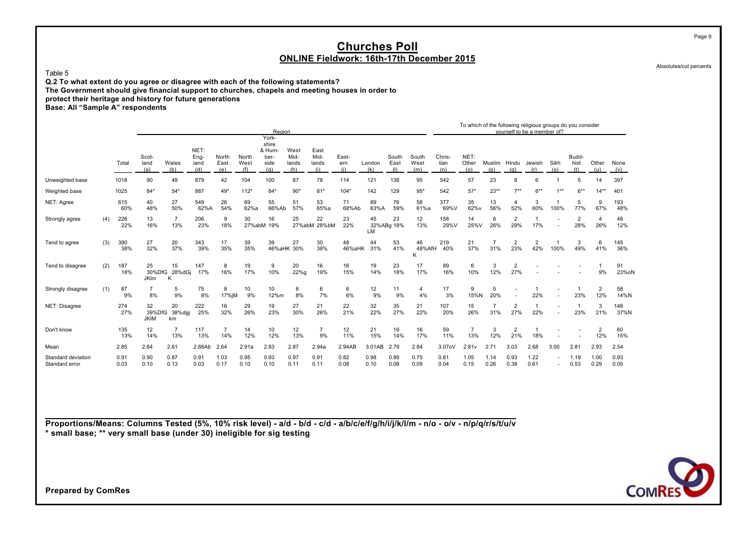Table 5

**Q.2 To what extent do you agree or disagree with each of the following statements? The Government should give financial support to churches, chapels and meeting houses in order to protect their heritage and history for future generations**

**Base: All "Sample A" respondents**

|                                      |     |              |                             |                       |                             |                       |                      | Region                                 |                              |                              |                     |               |                      |                      |                       |                       |                       |                       | To which of the following religious groups do you consider<br>vourself to be a member of? |                          |                       |                       |              |
|--------------------------------------|-----|--------------|-----------------------------|-----------------------|-----------------------------|-----------------------|----------------------|----------------------------------------|------------------------------|------------------------------|---------------------|---------------|----------------------|----------------------|-----------------------|-----------------------|-----------------------|-----------------------|-------------------------------------------------------------------------------------------|--------------------------|-----------------------|-----------------------|--------------|
|                                      |     |              |                             |                       |                             |                       |                      | York-                                  |                              |                              |                     |               |                      |                      |                       |                       |                       |                       |                                                                                           |                          |                       |                       |              |
|                                      |     | Total        | Scot-<br>land<br>(a)        | Wales<br>(b)          | NET:<br>Eng-<br>land<br>(d) | North<br>East<br>(e)  | North<br>West<br>(f) | shire<br>& Hum-<br>ber-<br>side<br>(q) | West<br>Mid-<br>lands<br>(h) | East<br>Mid-<br>lands<br>(i) | East-<br>ern<br>(i) | London<br>(k) | South<br>East<br>(1) | South<br>West<br>(m) | Chris-<br>tian<br>(n) | NET:<br>Other<br>(o)  | Muslim<br>(p)         | Hindu<br>(q)          | Jewish<br>(r)                                                                             | Sikh<br>(s)              | Budd-<br>hist<br>(t)  | Other<br>(u)          | None<br>(v)  |
| Unweighted base                      |     | 1018         | 90                          | 49                    | 879                         | 42                    | 104                  | 100                                    | 87                           | 78                           | 114                 | 121           | 138                  | 95                   | 542                   | 57                    | 23                    | 8                     | 6                                                                                         |                          |                       | 14                    | 397          |
| Weighted base                        |     | 1025         | $84*$                       | $54*$                 | 887                         | 49*                   | $112*$               | $84*$                                  | $90*$                        | $81*$                        | $104*$              | 142           | 129                  | $95*$                | 542                   | $57*$                 | $23**$                | $7**$                 | $6***$                                                                                    | $1***$                   | $6***$                | $14**$                | 401          |
| NET: Agree                           |     | 615<br>60%   | 40<br>48%                   | 27<br>50%             | 549<br>62%A                 | 26<br>54%             | 69<br>62%a           | 55<br>66%Ab                            | 51<br>57%                    | 53<br>65%a                   | 71<br>68%Ab         | 89<br>63%A    | 76<br>59%            | 58<br>61%a           | 377<br>69%V           | 35<br>62%v            | 13<br>56%             | 4<br>52%              | 3<br>60%                                                                                  | 100%                     | 5<br>77%              | 9<br>67%              | 193<br>48%   |
| Strongly agree                       | (4) | 226<br>22%   | 13<br>16%                   | $\overline{7}$<br>13% | 206<br>23%                  | 9<br>18%              | 30<br>27%abM         | 16<br>19%                              | 25                           | 22<br>27%abM 28%bM           | 23<br>22%           | 45<br>LM      | 23<br>32%ABg 18%     | 12<br>13%            | 158<br>29%V           | 14<br>25%V            | 6<br>26%              | $\overline{2}$<br>29% | 17%                                                                                       |                          | $\overline{2}$<br>28% | $\overline{4}$<br>26% | 48<br>12%    |
| Tend to agree                        | (3) | 390<br>38%   | 27<br>32%                   | 20<br>37%             | 343<br>39%                  | 17<br>35%             | 39<br>35%            | 39                                     | 27<br>46%aHK 30%             | 30<br>38%                    | 48<br>46%aHK        | 44<br>31%     | 53<br>41%            | 46<br>48%AfH<br>K    | 219<br>40%            | 21<br>37%             | 31%                   | $\overline{2}$<br>23% | $\overline{2}$<br>42%                                                                     | 100%                     | 3<br>49%              | 6<br>41%              | 145<br>36%   |
| Tend to disagree                     | (2) | 187<br>18%   | 25<br>30%DfG<br><b>JKIm</b> | 15<br>28%dGi<br>K     | 147<br>17%                  | 8<br>16%              | 19<br>17%            | 9<br>10%                               | 20<br>22%g                   | 16<br>19%                    | 16<br>15%           | 19<br>14%     | 23<br>18%            | 17<br>17%            | 89<br>16%             | 6<br>10%              | 3<br>12%              | 2<br>27%              |                                                                                           |                          |                       | 9%                    | 91<br>23%oN  |
| Strongly disagree                    | (1) | 87<br>9%     | 8%                          | 5<br>9%               | 75<br>8%                    | 8<br>17%jM            | 10<br>9%             | 10<br>12%m                             | 8<br>8%                      | 6<br>7%                      | 6<br>6%             | 12<br>9%      | 11<br>9%             | 4<br>4%              | 17<br>3%              | 9<br>15%N             | 5<br>20%              |                       | 22%                                                                                       | $\overline{\phantom{a}}$ | 23%                   | $\overline{2}$<br>12% | 58<br>14%N   |
| NET: Disagree                        |     | 274<br>27%   | 32<br>39%DfG<br><b>JKIM</b> | 20<br>38%dgj<br>km    | 222<br>25%                  | 16<br>32%             | 29<br>26%            | 19<br>23%                              | 27<br>30%                    | 21<br>26%                    | 22<br>21%           | 32<br>22%     | 35<br>27%            | 21<br>22%            | 107<br>20%            | 15<br>26%             | $\overline{7}$<br>31% | $\overline{2}$<br>27% | 22%                                                                                       |                          | 23%                   | 3<br>21%              | 148<br>37%N  |
| Don't know                           |     | 135<br>13%   | 12<br>14%                   | 13%                   | 117<br>13%                  | $\overline{7}$<br>14% | 14<br>12%            | 10<br>12%                              | 12<br>13%                    | $\overline{7}$<br>9%         | 12<br>11%           | 21<br>15%     | 19<br>14%            | 16<br>17%            | 59<br>11%             | $\overline{7}$<br>13% | 3<br>12%              | $\overline{2}$<br>21% | 18%                                                                                       |                          |                       | $\overline{2}$<br>12% | 60<br>15%    |
| Mean                                 |     | 2.85         | 2.64                        | 2.61                  | 2.88Ab                      | 2.64                  | 2.91a                | 2.83                                   | 2.87                         | 2.94a                        | 2.94AB              | 3.01AB        | 2.79                 | 2.84                 | 3.07oV                | 2.81v                 | 2.71                  | 3.03                  | 2.68                                                                                      | 3.00                     | 2.81                  | 2.93                  | 2.54         |
| Standard deviation<br>Standard error |     | 0.91<br>0.03 | 0.90<br>0.10                | 0.87<br>0.13          | 0.91<br>0.03                | 1.03<br>0.17          | 0.95<br>0.10         | 0.93<br>0.10                           | 0.97<br>0.11                 | 0.91<br>0.11                 | 0.82<br>0.08        | 0.98<br>0.10  | 0.89<br>0.08         | 0.75<br>0.09         | 0.81<br>0.04          | 1.05<br>0.15          | 1.14<br>0.26          | 0.93<br>0.38          | 1.22<br>0.61                                                                              |                          | 1.19<br>0.53          | 1.00<br>0.29          | 0.93<br>0.05 |

**Proportions/Means: Columns Tested (5%, 10% risk level) - a/d - b/d - c/d - a/b/c/e/f/g/h/i/j/k/l/m - n/o - o/v - n/p/q/r/s/t/u/v \* small base; \*\* very small base (under 30) ineligible for sig testing**



Absolutes/col percents

Page 9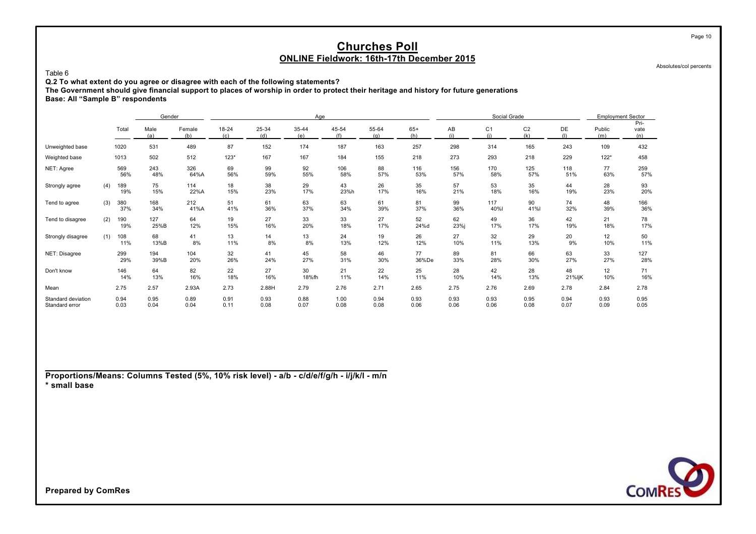Absolutes/col percents

**Q.2 To what extent do you agree or disagree with each of the following statements?**

**The Government should give financial support to places of worship in order to protect their heritage and history for future generations**

**Base: All "Sample B" respondents**

Table 6

|                                      |     |              | Gender                       |              |              |              | Age          |              |              |              |              | Social Grade          |                       |              | <b>Employment Sector</b> |                     |
|--------------------------------------|-----|--------------|------------------------------|--------------|--------------|--------------|--------------|--------------|--------------|--------------|--------------|-----------------------|-----------------------|--------------|--------------------------|---------------------|
|                                      |     | Total        | Male<br>Female<br>(a)<br>(b) |              | 18-24<br>(c) | 25-34<br>(d) | 35-44<br>(e) | 45-54<br>(f) | 55-64<br>(q) | $65+$<br>(h) | AB<br>(i)    | C <sub>1</sub><br>(i) | C <sub>2</sub><br>(k) | DE           | Public<br>(m)            | Pri-<br>vate<br>(n) |
| Unweighted base                      |     | 1020         | 531                          | 489          | 87           | 152          | 174          | 187          | 163          | 257          | 298          | 314                   | 165                   | 243          | 109                      | 432                 |
| Weighted base                        |     | 1013         | 502                          | 512          | $123*$       | 167          | 167          | 184          | 155          | 218          | 273          | 293                   | 218                   | 229          | $122*$                   | 458                 |
| NET: Agree                           |     | 569<br>56%   | 243<br>48%                   | 326<br>64%A  | 69<br>56%    | 99<br>59%    | 92<br>55%    | 106<br>58%   | 88<br>57%    | 116<br>53%   | 156<br>57%   | 170<br>58%            | 125<br>57%            | 118<br>51%   | 77<br>63%                | 259<br>57%          |
| Strongly agree                       | (4) | 189<br>19%   | 75<br>15%                    | 114<br>22%A  | 18<br>15%    | 38<br>23%    | 29<br>17%    | 43<br>23%h   | 26<br>17%    | 35<br>16%    | 57<br>21%    | 53<br>18%             | 35<br>16%             | 44<br>19%    | 28<br>23%                | 93<br>20%           |
| Tend to agree                        | (3) | 380<br>37%   | 168<br>34%                   | 212<br>41%A  | 51<br>41%    | 61<br>36%    | 63<br>37%    | 63<br>34%    | 61<br>39%    | 81<br>37%    | 99<br>36%    | 117<br>40%l           | 90<br>41%l            | 74<br>32%    | 48<br>39%                | 166<br>36%          |
| Tend to disagree                     | (2) | 190<br>19%   | 127<br>25%B                  | 64<br>12%    | 19<br>15%    | 27<br>16%    | 33<br>20%    | 33<br>18%    | 27<br>17%    | 52<br>24%d   | 62<br>23%i   | 49<br>17%             | 36<br>17%             | 42<br>19%    | 21<br>18%                | 78<br>17%           |
| Strongly disagree                    | (1) | 108<br>11%   | 68<br>13%B                   | 41<br>8%     | 13<br>11%    | 14<br>8%     | 13<br>8%     | 24<br>13%    | 19<br>12%    | 26<br>12%    | 27<br>10%    | 32<br>11%             | 29<br>13%             | 20<br>9%     | 12<br>10%                | 50<br>11%           |
| NET: Disagree                        |     | 299<br>29%   | 194<br>39%B                  | 104<br>20%   | 32<br>26%    | 41<br>24%    | 45<br>27%    | 58<br>31%    | 46<br>30%    | 77<br>36%De  | 89<br>33%    | 81<br>28%             | 66<br>30%             | 63<br>27%    | 33<br>27%                | 127<br>28%          |
| Don't know                           |     | 146<br>14%   | 64<br>13%                    | 82<br>16%    | 22<br>18%    | 27<br>16%    | 30<br>18%fh  | 21<br>11%    | 22<br>14%    | 25<br>11%    | 28<br>10%    | 42<br>14%             | 28<br>13%             | 48<br>21%ljK | 12<br>10%                | 71<br>16%           |
| Mean                                 |     | 2.75         | 2.57                         | 2.93A        | 2.73         | 2.88H        | 2.79         | 2.76         | 2.71         | 2.65         | 2.75         | 2.76                  | 2.69                  | 2.78         | 2.84                     | 2.78                |
| Standard deviation<br>Standard error |     | 0.94<br>0.03 | 0.95<br>0.04                 | 0.89<br>0.04 | 0.91<br>0.11 | 0.93<br>0.08 | 0.88<br>0.07 | 1.00<br>0.08 | 0.94<br>0.08 | 0.93<br>0.06 | 0.93<br>0.06 | 0.93<br>0.06          | 0.95<br>0.08          | 0.94<br>0.07 | 0.93<br>0.09             | 0.95<br>0.05        |

**Proportions/Means: Columns Tested (5%, 10% risk level) - a/b - c/d/e/f/g/h - i/j/k/l - m/n \* small base**



**Prepared by ComRes**

Page 10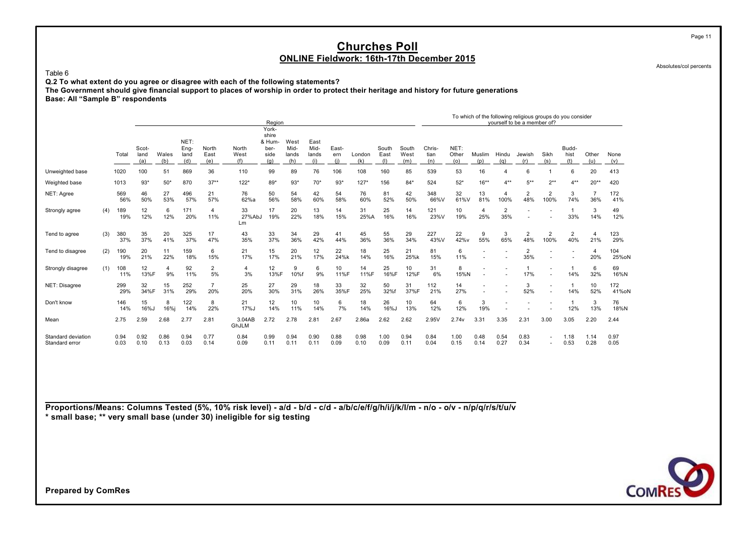Table 6

**Q.2 To what extent do you agree or disagree with each of the following statements?**

**The Government should give financial support to places of worship in order to protect their heritage and history for future generations**

**Base: All "Sample B" respondents**

|                                      |     |              |                      |                      |                             |                       |                      | Region                                          |                              |                              |                     |               |                      |                      |                       |                      |               |                       | To which of the following religious groups do you consider<br>yourself to be a member of? |                          |                      |                       |              |
|--------------------------------------|-----|--------------|----------------------|----------------------|-----------------------------|-----------------------|----------------------|-------------------------------------------------|------------------------------|------------------------------|---------------------|---------------|----------------------|----------------------|-----------------------|----------------------|---------------|-----------------------|-------------------------------------------------------------------------------------------|--------------------------|----------------------|-----------------------|--------------|
|                                      |     | Total        | Scot-<br>land<br>(a) | Wales<br>(b)         | NET:<br>Eng-<br>land<br>(d) | North<br>East<br>(e)  | North<br>West<br>(f) | York-<br>shire<br>& Hum-<br>ber-<br>side<br>(g) | West<br>Mid-<br>lands<br>(h) | East<br>Mid-<br>lands<br>(i) | East-<br>ern<br>(i) | London<br>(k) | South<br>East<br>(1) | South<br>West<br>(m) | Chris-<br>tian<br>(n) | NET:<br>Other<br>(0) | Muslim<br>(p) | Hindu<br>(a)          | Jewish<br>(r)                                                                             | Sikh<br>(s)              | Budd-<br>hist<br>(t) | Other<br>(u)          | None<br>(v)  |
| Unweighted base                      |     | 1020         | 100                  | 51                   | 869                         | 36                    | 110                  | 99                                              | 89                           | 76                           | 106                 | 108           | 160                  | 85                   | 539                   | 53                   | 16            |                       | 6                                                                                         |                          | 6                    | 20                    | 413          |
| Weighted base                        |     | 1013         | $93*$                | $50*$                | 870                         | $37**$                | $122*$               | 89*                                             | $93*$                        | $70*$                        | $93*$               | $127*$        | 156                  | $84*$                | 524                   | $52*$                | $16**$        | $4**$                 | $5***$                                                                                    | $2***$                   | $4***$               | $20**$                | 420          |
| NET: Agree                           |     | 569<br>56%   | 46<br>50%            | 27<br>53%            | 496<br>57%                  | 21<br>57%             | 76<br>62%a           | 50<br>56%                                       | 54<br>58%                    | 42<br>60%                    | 54<br>58%           | 76<br>60%     | 81<br>52%            | 42<br>50%            | 348<br>66%V           | 32<br>61%V           | 13<br>81%     | 100%                  | $\overline{2}$<br>48%                                                                     | $\overline{2}$<br>100%   | 3<br>74%             | 36%                   | 172<br>41%   |
| Strongly agree                       | (4) | 189<br>19%   | 12<br>12%            | 6<br>12%             | 171<br>20%                  | 4<br>11%              | 33<br>27%AbJ<br>Lm   | 17<br>19%                                       | 20<br>22%                    | 13<br>18%                    | 14<br>15%           | 31<br>25%A    | 25<br>16%            | 14<br>16%            | 121<br>23%V           | 10<br>19%            | 4<br>25%      | $\overline{2}$<br>35% |                                                                                           |                          | 33%                  | 3<br>14%              | 49<br>12%    |
| Tend to agree                        | (3) | 380<br>37%   | 35<br>37%            | 20<br>41%            | 325<br>37%                  | 17<br>47%             | 43<br>35%            | 33<br>37%                                       | 34<br>36%                    | 29<br>42%                    | 41<br>44%           | 45<br>36%     | 55<br>36%            | 29<br>34%            | 227<br>43%V           | 22<br>42%v           | 9<br>55%      | 3<br>65%              | $\overline{2}$<br>48%                                                                     | $\overline{2}$<br>100%   | 2<br>40%             | 4<br>21%              | 123<br>29%   |
| Tend to disagree                     | (2) | 190<br>19%   | 20<br>21%            | 11<br>22%            | 159<br>18%                  | 6<br>15%              | 21<br>17%            | 15<br>17%                                       | 20<br>21%                    | 12<br>17%                    | 22<br>24%k          | 18<br>14%     | 25<br>16%            | 21<br>25%k           | 81<br>15%             | 6<br>11%             |               |                       | $\overline{2}$<br>35%                                                                     |                          |                      | $\overline{4}$<br>20% | 104<br>25%oN |
| Strongly disagree                    | (1) | 108<br>11%   | 12<br>13%F           | $\overline{4}$<br>9% | 92<br>11%                   | 2<br>5%               | $\overline{4}$<br>3% | 12<br>13%F                                      | 9<br>10%f                    | 6<br>9%                      | 10<br>11%F          | 14<br>11%F    | 25<br>16%F           | 10<br>12%F           | 31<br>6%              | 8<br>15%N            |               |                       | 17%                                                                                       |                          | 14%                  | 6<br>32%              | 69<br>16%N   |
| NET: Disagree                        |     | 299<br>29%   | 32<br>34%F           | 15<br>31%            | 252<br>29%                  | $\overline{7}$<br>20% | 25<br>20%            | 27<br>30%                                       | 29<br>31%                    | 18<br>26%                    | 33<br>35%F          | 32<br>25%     | 50<br>32%f           | 31<br>37%F           | 112<br>21%            | 14<br>27%            | ۰             |                       | 3<br>52%                                                                                  |                          | 14%                  | 10<br>52%             | 172<br>41%oN |
| Don't know                           |     | 146<br>14%   | 15<br>16%J           | 8<br>16%i            | 122<br>14%                  | 8<br>22%              | 21<br>17%J           | 12<br>14%                                       | 10<br>11%                    | 10<br>14%                    | 6<br>7%             | 18<br>14%     | 26<br>16%            | 10<br>13%            | 64<br>12%             | 6<br>12%             | 3<br>19%      |                       |                                                                                           |                          | 12%                  | 3<br>13%              | 76<br>18%N   |
| Mean                                 |     | 2.75         | 2.59                 | 2.68                 | 2.77                        | 2.81                  | 3.04AB<br>GhJLM      | 2.72                                            | 2.78                         | 2.81                         | 2.67                | 2.86a         | 2.62                 | 2.62                 | 2.95V                 | 2.74v                | 3.31          | 3.35                  | 2.31                                                                                      | 3.00                     | 3.05                 | 2.20                  | 2.44         |
| Standard deviation<br>Standard error |     | 0.94<br>0.03 | 0.92<br>0.10         | 0.86<br>0.13         | 0.94<br>0.03                | 0.77<br>0.14          | 0.84<br>0.09         | 0.99<br>0.11                                    | 0.94<br>0.11                 | 0.90<br>0.11                 | 0.88<br>0.09        | 0.98<br>0.10  | 1.00<br>0.09         | 0.94<br>0.11         | 0.84<br>0.04          | 1.00<br>0.15         | 0.48<br>0.14  | 0.54<br>0.27          | 0.83<br>0.34                                                                              | $\overline{\phantom{a}}$ | 1.18<br>0.53         | 1.14<br>0.28          | 0.97<br>0.05 |

**Proportions/Means: Columns Tested (5%, 10% risk level) - a/d - b/d - c/d - a/b/c/e/f/g/h/i/j/k/l/m - n/o - o/v - n/p/q/r/s/t/u/v \* small base; \*\* very small base (under 30) ineligible for sig testing**



Absolutes/col percents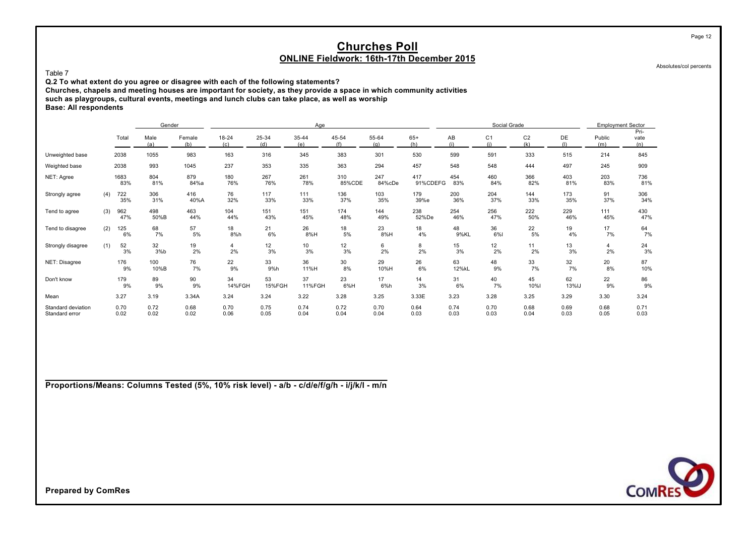Absolutes/col percents

Page 12

Table 7

**Q.2 To what extent do you agree or disagree with each of the following statements?**

**Churches, chapels and meeting houses are important for society, as they provide a space in which community activities**

**such as playgroups, cultural events, meetings and lunch clubs can take place, as well as worship**

**Base: All respondents**

|                                      |     |              | Gender       |               |              |              | Age          |               |               |                 |              | Social Grade          |                       |              | <b>Employment Sector</b> |                     |
|--------------------------------------|-----|--------------|--------------|---------------|--------------|--------------|--------------|---------------|---------------|-----------------|--------------|-----------------------|-----------------------|--------------|--------------------------|---------------------|
|                                      |     | Total        | Male<br>(a)  | Female<br>(b) | 18-24<br>(c) | 25-34<br>(d) | 35-44<br>(e) | 45-54<br>(f)  | 55-64<br>(a)  | $65+$<br>(h)    | AB<br>(i)    | C <sub>1</sub><br>(i) | C <sub>2</sub><br>(k) | DE<br>(1)    | Public<br>(m)            | Pri-<br>vate<br>(n) |
| Unweighted base                      |     | 2038         | 1055         | 983           | 163          | 316          | 345          | 383           | 301           | 530             | 599          | 591                   | 333                   | 515          | 214                      | 845                 |
| Weighted base                        |     | 2038         | 993          | 1045          | 237          | 353          | 335          | 363           | 294           | 457             | 548          | 548                   | 444                   | 497          | 245                      | 909                 |
| NET: Agree                           |     | 1683<br>83%  | 804<br>81%   | 879<br>84%a   | 180<br>76%   | 267<br>76%   | 261<br>78%   | 310<br>85%CDE | 247<br>84%cDe | 417<br>91%CDEFG | 454<br>83%   | 460<br>84%            | 366<br>82%            | 403<br>81%   | 203<br>83%               | 736<br>81%          |
| Strongly agree                       | (4) | 722<br>35%   | 306<br>31%   | 416<br>40%A   | 76<br>32%    | 117<br>33%   | 111<br>33%   | 136<br>37%    | 103<br>35%    | 179<br>39%e     | 200<br>36%   | 204<br>37%            | 144<br>33%            | 173<br>35%   | 91<br>37%                | 306<br>34%          |
| Tend to agree                        | (3) | 962<br>47%   | 498<br>50%B  | 463<br>44%    | 104<br>44%   | 151<br>43%   | 151<br>45%   | 174<br>48%    | 144<br>49%    | 238<br>52%De    | 254<br>46%   | 256<br>47%            | 222<br>50%            | 229<br>46%   | 111<br>45%               | 430<br>47%          |
| Tend to disagree                     | (2) | 125<br>6%    | 68<br>7%     | 57<br>5%      | 18<br>8%h    | 21<br>6%     | 26<br>8%H    | 18<br>5%      | 23<br>8%H     | 18<br>4%        | 48<br>9%KL   | 36<br>6%              | 22<br>5%              | 19<br>4%     | 17<br>7%                 | 64<br>7%            |
| Strongly disagree                    | (1) | 52<br>3%     | 32<br>3%b    | 19<br>2%      | 4<br>2%      | 12<br>3%     | 10<br>3%     | 12<br>3%      | 6<br>2%       | 8<br>2%         | 15<br>3%     | 12<br>2%              | 11<br>2%              | 13<br>3%     | 4<br>2%                  | $\frac{24}{3\%}$    |
| NET: Disagree                        |     | 176<br>9%    | 100<br>10%B  | 76<br>7%      | 22<br>9%     | 33<br>9%h    | 36<br>11%H   | 30<br>8%      | 29<br>10%H    | 26<br>6%        | 63<br>12%kL  | 48<br>9%              | 33<br>7%              | 32<br>7%     | 20<br>8%                 | 87<br>10%           |
| Don't know                           |     | 179<br>9%    | 89<br>9%     | 90<br>9%      | 34<br>14%FGH | 53<br>15%FGH | 37<br>11%FGH | 23<br>6%H     | 17<br>6%h     | 14<br>3%        | 31<br>6%     | 40<br>7%              | 45<br>10%             | 62<br>13%IJ  | 22<br>9%                 | 86<br>9%            |
| Mean                                 |     | 3.27         | 3.19         | 3.34A         | 3.24         | 3.24         | 3.22         | 3.28          | 3.25          | 3.33E           | 3.23         | 3.28                  | 3.25                  | 3.29         | 3.30                     | 3.24                |
| Standard deviation<br>Standard error |     | 0.70<br>0.02 | 0.72<br>0.02 | 0.68<br>0.02  | 0.70<br>0.06 | 0.75<br>0.05 | 0.74<br>0.04 | 0.72<br>0.04  | 0.70<br>0.04  | 0.64<br>0.03    | 0.74<br>0.03 | 0.70<br>0.03          | 0.68<br>0.04          | 0.69<br>0.03 | 0.68<br>0.05             | 0.71<br>0.03        |

**Proportions/Means: Columns Tested (5%, 10% risk level) - a/b - c/d/e/f/g/h - i/j/k/l - m/n**

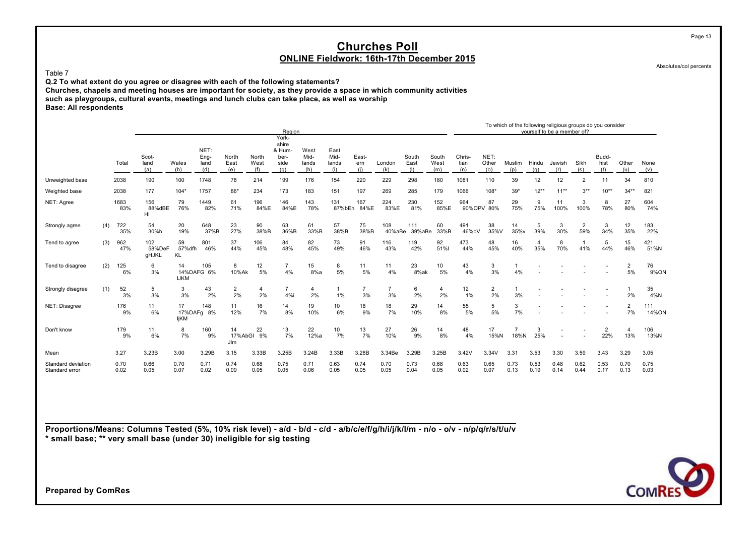Absolutes/col percents

Page 13

Table 7

**Q.2 To what extent do you agree or disagree with each of the following statements?**

**Churches, chapels and meeting houses are important for society, as they provide a space in which community activities such as playgroups, cultural events, meetings and lunch clubs can take place, as well as worship**

**Base: All respondents**

|                                      |     |              |                        |                     |                             |                             |                      | Region                                          |                              |                              |                      |                      |                      |                      |                       |                      |               |              | To which of the following religious groups do you consider<br>vourself to be a member of? |                       |                       |                      |              |
|--------------------------------------|-----|--------------|------------------------|---------------------|-----------------------------|-----------------------------|----------------------|-------------------------------------------------|------------------------------|------------------------------|----------------------|----------------------|----------------------|----------------------|-----------------------|----------------------|---------------|--------------|-------------------------------------------------------------------------------------------|-----------------------|-----------------------|----------------------|--------------|
|                                      |     | Total        | Scot-<br>land<br>(a)   | Wales<br>(b)        | NET:<br>Eng-<br>land<br>(d) | North<br>East<br>(e)        | North<br>West<br>(f) | York-<br>shire<br>& Hum-<br>ber-<br>side<br>(q) | West<br>Mid-<br>lands<br>(h) | East<br>Mid-<br>lands<br>(i) | East-<br>ern<br>(i)  | London<br>(k)        | South<br>East<br>(1) | South<br>West<br>(m) | Chris-<br>tian<br>(n) | NET:<br>Other<br>(o) | Muslim<br>(p) | Hindu<br>(q) | Jewish<br>(r)                                                                             | Sikh<br>(s)           | Budd-<br>hist<br>(t)  | Other<br>(u)         | None<br>(v)  |
| Unweighted base                      |     | 2038         | 190                    | 100                 | 1748                        | 78                          | 214                  | 199                                             | 176                          | 154                          | 220                  | 229                  | 298                  | 180                  | 1081                  | 110                  | 39            | 12           | 12                                                                                        | $\overline{2}$        | 11                    | 34                   | 810          |
| Weighted base                        |     | 2038         | 177                    | $104*$              | 1757                        | 86*                         | 234                  | 173                                             | 183                          | 151                          | 197                  | 269                  | 285                  | 179                  | 1066                  | 108*                 | $39*$         | $12***$      | $11**$                                                                                    | $3***$                | $10**$                | $34**$               | 821          |
| NET: Agree                           |     | 1683<br>83%  | 156<br>88%dBE<br>HI    | 79<br>76%           | 1449<br>82%                 | 61<br>71%                   | 196<br>84%E          | 146<br>84%E                                     | 143<br>78%                   | 131<br>87%bEh                | 167<br>84%E          | 224<br>83%E          | 230<br>81%           | 152<br>85%E          | 964                   | 87<br>90%OPV 80%     | 29<br>75%     | 9<br>75%     | 11<br>100%                                                                                | 3<br>100%             | 8<br>78%              | 27<br>80%            | 604<br>74%   |
| Strongly agree                       | (4) | 722<br>35%   | 54<br>30%b             | 20<br>19%           | 648<br>37%B                 | 23<br>27%                   | 90<br>38%B           | 63<br>36%B                                      | 61<br>33%B                   | 57<br>38%B                   | 75<br>38%B           | 108<br>40%aBe        | 111<br>39%aBe        | 60<br>33%B           | 491<br>46%oV          | 38<br>35%V           | 14<br>35%v    | 5<br>39%     | 3<br>30%                                                                                  | $\overline{2}$<br>59% | 3<br>34%              | 12<br>35%            | 183<br>22%   |
| Tend to agree                        | (3) | 962<br>47%   | 102<br>58%DeF<br>gHJKL | 59<br>57% dfh<br>KL | 801<br>46%                  | 37<br>44%                   | 106<br>45%           | 84<br>48%                                       | 82<br>45%                    | 73<br>49%                    | 91<br>46%            | 116<br>43%           | 119<br>42%           | 92<br>51%l           | 473<br>44%            | 48<br>45%            | 16<br>40%     | 4<br>35%     | 8<br>70%                                                                                  | 41%                   | 5<br>44%              | 15<br>46%            | 421<br>51%N  |
| Tend to disagree                     | (2) | 125<br>6%    | 6<br>3%                | 14<br><b>IJKM</b>   | 105<br>14%DAFG 6%           | 8<br>10%Ak                  | 12<br>5%             | 7<br>4%                                         | 15<br>8%a                    | 8<br>5%                      | 11<br>5%             | 11<br>4%             | 23<br>8%ak           | 10<br>5%             | 43<br>4%              | 3<br>3%              | 4%            |              |                                                                                           |                       |                       | $\overline{2}$<br>5% | 76<br>9%ON   |
| Strongly disagree                    | (1) | 52<br>3%     | 5<br>3%                | 3<br>3%             | 43<br>2%                    | $\overline{2}$<br>2%        | $\overline{4}$<br>2% | $\overline{7}$<br>4%i                           | 4<br>2%                      | 1%                           | $\overline{7}$<br>3% | $\overline{7}$<br>3% | 6<br>2%              | 4<br>2%              | 12<br>1%              | $\overline{2}$<br>2% | 3%            |              |                                                                                           |                       |                       | 2%                   | 35<br>4%N    |
| NET: Disagree                        |     | 176<br>9%    | 11<br>6%               | 17<br>ljKM          | 148<br>17%DAFg 8%           | 11<br>12%                   | 16<br>7%             | 14<br>8%                                        | 19<br>10%                    | 10<br>6%                     | 18<br>9%             | 18<br>7%             | 29<br>10%            | 14<br>8%             | 55<br>5%              | 5<br>5%              | 3<br>7%       |              |                                                                                           |                       |                       | $\overline{2}$<br>7% | 111<br>14%ON |
| Don't know                           |     | 179<br>9%    | 11<br>6%               | 8<br>7%             | 160<br>9%                   | 14<br>17%AbGI<br><b>JIm</b> | 22<br>9%             | 13<br>7%                                        | 22<br>12%a                   | 10<br>7%                     | 13<br>7%             | 27<br>10%            | 26<br>9%             | 14<br>8%             | 48<br>4%              | 17<br>15%N           | 18%N          | 3<br>25%     |                                                                                           |                       | $\overline{2}$<br>22% | 4<br>13%             | 106<br>13%N  |
| Mean                                 |     | 3.27         | 3.23B                  | 3.00                | 3.29B                       | 3.15                        | 3.33B                | 3.25B                                           | 3.24B                        | 3.33B                        | 3.28B                | 3.34Be               | 3.29B                | 3.25B                | 3.42V                 | 3.34V                | 3.31          | 3.53         | 3.30                                                                                      | 3.59                  | 3.43                  | 3.29                 | 3.05         |
| Standard deviation<br>Standard error |     | 0.70<br>0.02 | 0.66<br>0.05           | 0.70<br>0.07        | 0.71<br>0.02                | 0.74<br>0.09                | 0.68<br>0.05         | 0.75<br>0.05                                    | 0.71<br>0.06                 | 0.63<br>0.05                 | 0.74<br>0.05         | 0.70<br>0.05         | 0.73<br>0.04         | 0.68<br>0.05         | 0.63<br>0.02          | 0.65<br>0.07         | 0.73<br>0.13  | 0.53<br>0.19 | 0.48<br>0.14                                                                              | 0.62<br>0.44          | 0.53<br>0.17          | 0.70<br>0.13         | 0.75<br>0.03 |

**Proportions/Means: Columns Tested (5%, 10% risk level) - a/d - b/d - c/d - a/b/c/e/f/g/h/i/j/k/l/m - n/o - o/v - n/p/q/r/s/t/u/v \* small base; \*\* very small base (under 30) ineligible for sig testing**

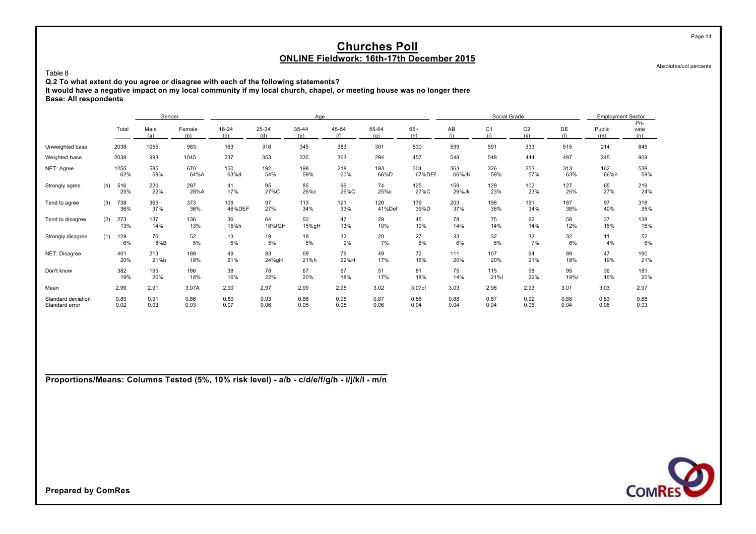Absolutes/col percents

**Q.2 To what extent do you agree or disagree with each of the following statements?**

**It would have a negative impact on my local community if my local church, chapel, or meeting house was no longer there Base: All respondents**

|                                      |     |              | Gender       |               |               |              | Age          |              |               |               |              | Social Grade          |                       |              | <b>Employment Sector</b> |                     |
|--------------------------------------|-----|--------------|--------------|---------------|---------------|--------------|--------------|--------------|---------------|---------------|--------------|-----------------------|-----------------------|--------------|--------------------------|---------------------|
|                                      |     | Total        | Male<br>(a)  | Female<br>(b) | 18-24<br>(c)  | 25-34<br>(d) | 35-44<br>(e) | 45-54<br>(f) | 55-64<br>(a)  | $65+$<br>(h)  | AB<br>(i)    | C <sub>1</sub><br>(i) | C <sub>2</sub><br>(k) | DE           | Public<br>(m)            | Pri-<br>vate<br>(n) |
| Unweighted base                      |     | 2038         | 1055         | 983           | 163           | 316          | 345          | 383          | 301           | 530           | 599          | 591                   | 333                   | 515          | 214                      | 845                 |
| Weighted base                        |     | 2038         | 993          | 1045          | 237           | 353          | 335          | 363          | 294           | 457           | 548          | 548                   | 444                   | 497          | 245                      | 909                 |
| NET: Agree                           |     | 1255<br>62%  | 585<br>59%   | 670<br>64%A   | 150<br>63%d   | 192<br>54%   | 198<br>59%   | 218<br>60%   | 193<br>66%D   | 304<br>67%DEf | 363<br>66%JK | 326<br>59%            | 253<br>57%            | 313<br>63%   | 162<br>66%n              | 538<br>59%          |
| Strongly agree                       | (4) | 516<br>25%   | 220<br>22%   | 297<br>28%A   | 41<br>17%     | 95<br>27%C   | 85<br>26%с   | 96<br>26%C   | 74<br>25%c    | 125<br>27%C   | 159<br>29%Jk | 129<br>23%            | 102<br>23%            | 127<br>25%   | 65<br>27%                | 219<br>24%          |
| Tend to agree                        | (3) | 738<br>36%   | 365<br>37%   | 373<br>36%    | 109<br>46%DEF | 97<br>27%    | 113<br>34%   | 121<br>33%   | 120<br>41%Def | 179<br>39%D   | 203<br>37%   | 198<br>36%            | 151<br>34%            | 187<br>38%   | 97<br>40%                | 318<br>35%          |
| Tend to disagree                     | (2) | 273<br>13%   | 137<br>14%   | 136<br>13%    | 36<br>15%h    | 64<br>18%fGH | 52<br>15%gH  | 47<br>13%    | 29<br>10%     | 45<br>10%     | 78<br>14%    | 75<br>14%             | 62<br>14%             | 58<br>12%    | 37<br>15%                | 138<br>15%          |
| Strongly disagree                    | (1) | 128<br>6%    | 76<br>8%B    | 52<br>5%      | 13<br>5%      | 19<br>5%     | 18<br>5%     | 32<br>9%     | 20<br>7%      | 27<br>6%      | 33<br>6%     | 32<br>6%              | 32<br>7%              | 32<br>6%     | 11<br>4%                 | 52<br>6%            |
| NET: Disagree                        |     | 401<br>20%   | 213<br>21%b  | 189<br>18%    | 49<br>21%     | 83<br>24%gH  | 69<br>21%h   | 79<br>22%H   | 49<br>17%     | 72<br>16%     | 111<br>20%   | 107<br>20%            | 94<br>21%             | 89<br>18%    | 47<br>19%                | 190<br>21%          |
| Don't know                           |     | 382<br>19%   | 195<br>20%   | 186<br>18%    | 38<br>16%     | 78<br>22%    | 67<br>20%    | 67<br>18%    | 51<br>17%     | 81<br>18%     | 75<br>14%    | 115<br>21%            | 98<br>22%             | 95<br>19%    | 36<br>15%                | 181<br>20%          |
| Mean                                 |     | 2.99         | 2.91         | 3.07A         | 2.90          | 2.97         | 2.99         | 2.95         | 3.02          | 3.07cf        | 3.03         | 2.98                  | 2.93                  | 3.01         | 3.03                     | 2.97                |
| Standard deviation<br>Standard error |     | 0.89<br>0.02 | 0.91<br>0.03 | 0.86<br>0.03  | 0.80<br>0.07  | 0.93<br>0.06 | 0.88<br>0.05 | 0.95<br>0.05 | 0.87<br>0.06  | 0.86<br>0.04  | 0.88<br>0.04 | 0.87<br>0.04          | 0.92<br>0.06          | 0.88<br>0.04 | 0.83<br>0.06             | 0.88<br>0.03        |

**Proportions/Means: Columns Tested (5%, 10% risk level) - a/b - c/d/e/f/g/h - i/j/k/l - m/n**



**Prepared by ComRes**

Table 8

Page 14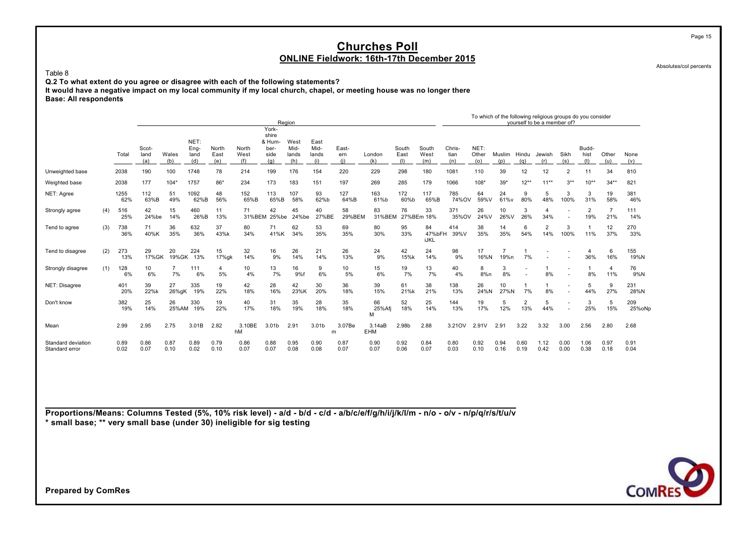Absolutes/col percents

Page 15

Table 8 **Q.2 To what extent do you agree or disagree with each of the following statements? It would have a negative impact on my local community if my local church, chapel, or meeting house was no longer there Base: All respondents**

|                                      |     |              |              |              |              |              |              |                                  | Region       |                   |              |                   |              |                      |              |              |               |                       | To which of the following religious groups do you consider<br>vourself to be a member of? |              |                       |              |               |
|--------------------------------------|-----|--------------|--------------|--------------|--------------|--------------|--------------|----------------------------------|--------------|-------------------|--------------|-------------------|--------------|----------------------|--------------|--------------|---------------|-----------------------|-------------------------------------------------------------------------------------------|--------------|-----------------------|--------------|---------------|
|                                      |     |              | Scot-        |              | NET:<br>Eng- | North        | North        | York-<br>shire<br>& Hum-<br>ber- | West<br>Mid- | East<br>Mid-      | East-        |                   | South        | South                | Chris-       | NET:         |               |                       |                                                                                           |              | Budd-                 |              |               |
|                                      |     | Total        | land<br>(a)  | Wales<br>(b) | land<br>(d)  | East<br>(e)  | West<br>(f)  | side<br>(q)                      | lands<br>(h) | lands<br>(i)      | ern<br>(i)   | London<br>(k)     | East<br>(1)  | West<br>(m)          | tian<br>(n)  | Other<br>(0) | Muslim<br>(p) | Hindu<br>(a)          | Jewish<br>(r)                                                                             | Sikh<br>(s)  | hist<br>(t)           | Other<br>(u) | None<br>(v)   |
| Unweighted base                      |     | 2038         | 190          | 100          | 1748         | 78           | 214          | 199                              | 176          | 154               | 220          | 229               | 298          | 180                  | 1081         | 110          | 39            | 12                    | 12                                                                                        | 2            | 11                    | 34           | 810           |
| Weighted base                        |     | 2038         | 177          | $104*$       | 1757         | 86*          | 234          | 173                              | 183          | 151               | 197          | 269               | 285          | 179                  | 1066         | 108*         | $39*$         | $12**$                | $11**$                                                                                    | $3***$       | $10**$                | $34**$       | 821           |
| NET: Agree                           |     | 1255<br>62%  | 112<br>63%B  | 51<br>49%    | 1092<br>62%B | 48<br>56%    | 152<br>65%B  | 113<br>65%B                      | 107<br>58%   | 93<br>62%b        | 127<br>64%B  | 163<br>61%b       | 172<br>60%b  | 117<br>65%B          | 785<br>74%OV | 64<br>59%V   | 24<br>61%v    | 9<br>80%              | 5<br>48%                                                                                  | 3<br>100%    | 3<br>31%              | 19<br>58%    | 381<br>46%    |
| Strongly agree                       | (4) | 516<br>25%   | 42<br>24%be  | 15<br>14%    | 460<br>26%B  | 11<br>13%    | 71<br>31%BEM | 42<br>25%be                      | 45<br>24%be  | 40<br>27%BE       | 58<br>29%BEM | 83<br>31%BEM      | 76           | 33<br>27%BEm 18%     | 371<br>35%OV | 26<br>24%V   | 10<br>26%V    | 3<br>26%              | 34%                                                                                       |              | $\overline{2}$<br>19% | 21%          | 111<br>14%    |
| Tend to agree                        | (3) | 738<br>36%   | 71<br>40%K   | 36<br>35%    | 632<br>36%   | 37<br>43%k   | 80<br>34%    | 71<br>41%K                       | 62<br>34%    | 53<br>35%         | 69<br>35%    | 80<br>30%         | 95<br>33%    | 84<br>47%bFH<br>iJKL | 414<br>39%V  | 38<br>35%    | 14<br>35%     | 6<br>54%              | $\overline{2}$<br>14%                                                                     | 3<br>100%    | 11%                   | 12<br>37%    | 270<br>33%    |
| Tend to disagree                     | (2) | 273<br>13%   | 29<br>17%GK  | 20<br>19%GK  | 224<br>13%   | 15<br>17%gk  | 32<br>14%    | 16<br>9%                         | 26<br>14%    | 21<br>14%         | 26<br>13%    | 24<br>9%          | 42<br>15%k   | 24<br>14%            | 98<br>9%     | 17<br>16%N   | 19%n          | 7%                    |                                                                                           |              | 4<br>36%              | 6<br>16%     | 155<br>19%N   |
| Strongly disagree                    | (1) | 128<br>6%    | 10<br>6%     | 7%           | 111<br>6%    | 4<br>5%      | 10<br>4%     | 13<br>7%                         | 16<br>9%f    | 9<br>6%           | 10<br>5%     | 15<br>6%          | 19<br>7%     | 13<br>7%             | 40<br>4%     | 8<br>8%n     | 3<br>8%       |                       | 8%                                                                                        |              | 8%                    | 4<br>11%     | 76<br>9%N     |
| NET: Disagree                        |     | 401<br>20%   | 39<br>22%k   | 27<br>26%gK  | 335<br>19%   | 19<br>22%    | 42<br>18%    | 28<br>16%                        | 42<br>23%K   | 30<br>20%         | 36<br>18%    | 39<br>15%         | 61<br>21%k   | 38<br>21%            | 138<br>13%   | 26<br>24%N   | 10<br>27%N    | 7%                    | 8%                                                                                        |              | 5<br>44%              | 9<br>27%     | 231<br>28%N   |
| Don't know                           |     | 382<br>19%   | 25<br>14%    | 26<br>25%AM  | 330<br>19%   | 19<br>22%    | 40<br>17%    | 31<br>18%                        | 35<br>19%    | 28<br>18%         | 35<br>18%    | 66<br>25%Afj<br>м | 52<br>18%    | 25<br>14%            | 144<br>13%   | 19<br>17%    | 5<br>12%      | $\overline{2}$<br>13% | 5<br>44%                                                                                  |              | 3<br>25%              | 5<br>15%     | 209<br>25%oNp |
| Mean                                 |     | 2.99         | 2.95         | 2.75         | 3.01B        | 2.82         | 3.10BE<br>hM | 3.01 <sub>b</sub>                | 2.91         | 3.01 <sub>b</sub> | 3.07Be<br>m  | 3.14aB<br>EHM     | 2.98b        | 2.88                 | 3.21OV       | 2.91V        | 2.91          | 3.22                  | 3.32                                                                                      | 3.00         | 2.56                  | 2.80         | 2.68          |
| Standard deviation<br>Standard error |     | 0.89<br>0.02 | 0.86<br>0.07 | 0.87<br>0.10 | 0.89<br>0.02 | 0.79<br>0.10 | 0.86<br>0.07 | 0.88<br>0.07                     | 0.95<br>0.08 | 0.90<br>0.08      | 0.87<br>0.07 | 0.90<br>0.07      | 0.92<br>0.06 | 0.84<br>0.07         | 0.80<br>0.03 | 0.92<br>0.10 | 0.94<br>0.16  | 0.60<br>0.19          | 1.12<br>0.42                                                                              | 0.00<br>0.00 | 1.06<br>0.38          | 0.97<br>0.18 | 0.91<br>0.04  |

**Proportions/Means: Columns Tested (5%, 10% risk level) - a/d - b/d - c/d - a/b/c/e/f/g/h/i/j/k/l/m - n/o - o/v - n/p/q/r/s/t/u/v \* small base; \*\* very small base (under 30) ineligible for sig testing**

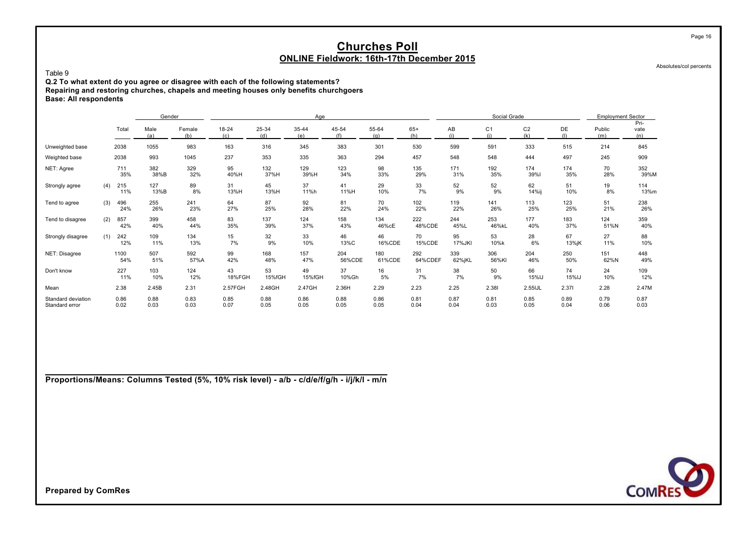Absolutes/col percents

Page 16

Table 9 **Q.2 To what extent do you agree or disagree with each of the following statements? Repairing and restoring churches, chapels and meeting houses only benefits churchgoers Base: All respondents**

|                                      |     |              | Gender       |               |                  |              | Age          |               |               |                |               | Social Grade          |                       |              | <b>Employment Sector</b> |                     |
|--------------------------------------|-----|--------------|--------------|---------------|------------------|--------------|--------------|---------------|---------------|----------------|---------------|-----------------------|-----------------------|--------------|--------------------------|---------------------|
|                                      |     | Total        | Male<br>(a)  | Female<br>(b) | $18 - 24$<br>(c) | 25-34<br>(d) | 35-44<br>(e) | 45-54<br>(f)  | 55-64<br>(a)  | $65+$<br>(h)   | AB            | C <sub>1</sub><br>(i) | C <sub>2</sub><br>(k) | DE<br>(1)    | Public<br>(m)            | Pri-<br>vate<br>(n) |
| Unweighted base                      |     | 2038         | 1055         | 983           | 163              | 316          | 345          | 383           | 301           | 530            | 599           | 591                   | 333                   | 515          | 214                      | 845                 |
| Weighted base                        |     | 2038         | 993          | 1045          | 237              | 353          | 335          | 363           | 294           | 457            | 548           | 548                   | 444                   | 497          | 245                      | 909                 |
| NET: Agree                           |     | 711<br>35%   | 382<br>38%B  | 329<br>32%    | 95<br>40%H       | 132<br>37%H  | 129<br>39%H  | 123<br>34%    | 98<br>33%     | 135<br>29%     | 171<br>31%    | 192<br>35%            | 174<br>39%            | 174<br>35%   | 70<br>28%                | 352<br>39%M         |
| Strongly agree                       | (4) | 215<br>11%   | 127<br>13%B  | 89<br>8%      | 31<br>13%H       | 45<br>13%H   | 37<br>11%h   | 41<br>11%H    | 29<br>10%     | 33<br>7%       | 52<br>9%      | 52<br>9%              | 62<br>14%ij           | 51<br>10%    | 19<br>8%                 | 114<br>13%m         |
| Tend to agree                        | (3) | 496<br>24%   | 255<br>26%   | 241<br>23%    | 64<br>27%        | 87<br>25%    | 92<br>28%    | 81<br>22%     | 70<br>24%     | 102<br>22%     | 119<br>22%    | 141<br>26%            | 113<br>25%            | 123<br>25%   | 51<br>21%                | 238<br>26%          |
| Tend to disagree                     | (2) | 857<br>42%   | 399<br>40%   | 458<br>44%    | 83<br>35%        | 137<br>39%   | 124<br>37%   | 158<br>43%    | 134<br>46%cE  | 222<br>48%CDE  | 244<br>45%L   | 253<br>46%kL          | 177<br>40%            | 183<br>37%   | 124<br>51%N              | 359<br>40%          |
| Strongly disagree                    | (1) | 242<br>12%   | 109<br>11%   | 134<br>13%    | 15<br>7%         | 32<br>9%     | 33<br>10%    | 46<br>13%C    | 46<br>16%CDE  | 70<br>15%CDE   | 95<br>17%JKI  | 53<br>10%k            | 28<br>6%              | 67<br>13%jK  | 27<br>11%                | 88<br>10%           |
| NET: Disagree                        |     | 1100<br>54%  | 507<br>51%   | 592<br>57%A   | 99<br>42%        | 168<br>48%   | 157<br>47%   | 204<br>56%CDE | 180<br>61%CDE | 292<br>64%CDEF | 339<br>62%jKL | 306<br>56%KI          | 204<br>46%            | 250<br>50%   | 151<br>62%N              | 448<br>49%          |
| Don't know                           |     | 227<br>11%   | 103<br>10%   | 124<br>12%    | 43<br>18%FGH     | 53<br>15%fGH | 49<br>15%fGH | 37<br>10%Gh   | 16<br>5%      | 31<br>7%       | 38<br>7%      | 50<br>9%              | 66<br>15%IJ           | 74<br>15%IJ  | 24<br>10%                | 109<br>12%          |
| Mean                                 |     | 2.38         | 2.45B        | 2.31          | 2.57FGH          | 2.48GH       | 2.47GH       | 2.36H         | 2.29          | 2.23           | 2.25          | 2.381                 | 2.55IJL               | 2.371        | 2.28                     | 2.47M               |
| Standard deviation<br>Standard error |     | 0.86<br>0.02 | 0.88<br>0.03 | 0.83<br>0.03  | 0.85<br>0.07     | 0.88<br>0.05 | 0.86<br>0.05 | 0.88<br>0.05  | 0.86<br>0.05  | 0.81<br>0.04   | 0.87<br>0.04  | 0.81<br>0.03          | 0.85<br>0.05          | 0.89<br>0.04 | 0.79<br>0.06             | 0.87<br>0.03        |

**Proportions/Means: Columns Tested (5%, 10% risk level) - a/b - c/d/e/f/g/h - i/j/k/l - m/n**

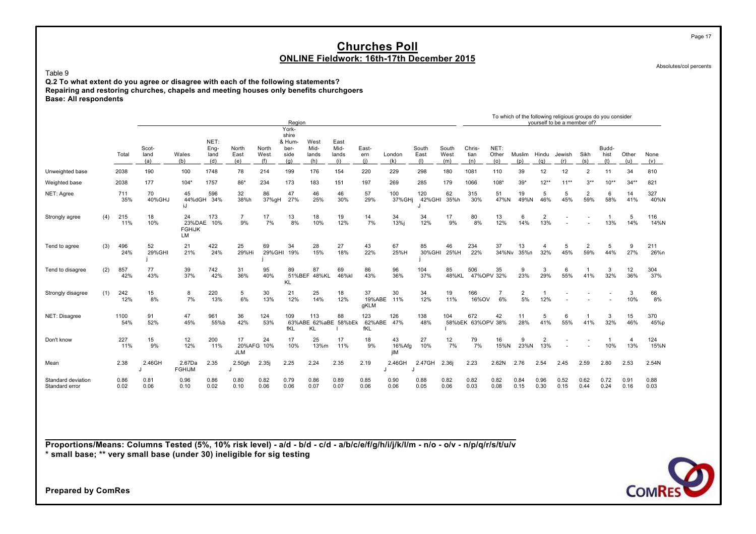Absolutes/col percents

Page 17

Table 9

**Q.2 To what extent do you agree or disagree with each of the following statements? Repairing and restoring churches, chapels and meeting houses only benefits churchgoers Base: All respondents**

|                                      |     |              |                      |                                         |                             |                                |                      | Region                                          |                              |                              |                      |                     |                      |                      |                          |                      | To which of the following religious groups do you consider |                                | vourself to be a member of? |                       |                      |              |              |
|--------------------------------------|-----|--------------|----------------------|-----------------------------------------|-----------------------------|--------------------------------|----------------------|-------------------------------------------------|------------------------------|------------------------------|----------------------|---------------------|----------------------|----------------------|--------------------------|----------------------|------------------------------------------------------------|--------------------------------|-----------------------------|-----------------------|----------------------|--------------|--------------|
|                                      |     | Total        | Scot-<br>land<br>(a) | Wales<br>(b)                            | NET:<br>Eng-<br>land<br>(d) | North<br>East<br>(e)           | North<br>West<br>(f) | York-<br>shire<br>& Hum-<br>ber-<br>side<br>(q) | West<br>Mid-<br>lands<br>(h) | East<br>Mid-<br>lands<br>(i) | East-<br>ern<br>(i)  | London<br>(k)       | South<br>East<br>(1) | South<br>West<br>(m) | Chris-<br>tian<br>(n)    | NET:<br>Other<br>(0) | Muslim<br>(D)                                              | Hindu<br>(q)                   | Jewish<br>(r)               | Sikh<br>(s)           | Budd-<br>hist<br>(t) | Other<br>(u) | None<br>(V)  |
| Unweighted base                      |     | 2038         | 190                  | 100                                     | 1748                        | 78                             | 214                  | 199                                             | 176                          | 154                          | 220                  | 229                 | 298                  | 180                  | 1081                     | 110                  | 39                                                         | 12                             | 12                          | $\overline{2}$        | 11                   | 34           | 810          |
| Weighted base                        |     | 2038         | 177                  | $104*$                                  | 1757                        | 86*                            | 234                  | 173                                             | 183                          | 151                          | 197                  | 269                 | 285                  | 179                  | 1066                     | $108*$               | $39*$                                                      | $12***$                        | $11***$                     | $3***$                | $10**$               | $34**$       | 821          |
| NET: Agree                           |     | 711<br>35%   | 70<br>40%GHJ         | 45<br>44%dGH<br>iJ                      | 596<br>34%                  | 32<br>38%h                     | 86<br>37%gH          | 47<br>27%                                       | 46<br>25%                    | 46<br>30%                    | 57<br>29%            | 100<br>37%GHi       | 120<br>42%GHI        | 62<br>35%h           | 315<br>30%               | 51<br>47%N           | 19<br>49%N                                                 | 5<br>46%                       | 5<br>45%                    | $\overline{2}$<br>59% | 6<br>58%             | 14<br>41%    | 327<br>40%N  |
| Strongly agree                       | (4) | 215<br>11%   | 18<br>10%            | 24<br>23%DAE 10%<br><b>FGHiJK</b><br>LM | 173                         | $\overline{7}$<br>9%           | 17<br>7%             | 13<br>8%                                        | 18<br>10%                    | 19<br>12%                    | 14<br>7%             | 34<br>13%i          | 34<br>12%            | 17<br>9%             | 80<br>8%                 | 13<br>12%            | 6<br>14%                                                   | $\overline{2}$<br>13%          |                             |                       | 13%                  | 5<br>14%     | 116<br>14%N  |
| Tend to agree                        | (3) | 496<br>24%   | 52<br>29%GHI         | 21<br>21%                               | 422<br>24%                  | 25<br>29%Hi                    | 69<br>29% GHI        | 34<br>19%                                       | 28<br>15%                    | 27<br>18%                    | 43<br>22%            | 67<br>25%H          | 85<br>30%GHI         | 46<br>25%H           | 234<br>22%               | 37<br>34%Nv          | 13<br>35%n                                                 | 4<br>32%                       | 5<br>45%                    | $\overline{2}$<br>59% | 5<br>44%             | 9<br>27%     | 211<br>26%n  |
| Tend to disagree                     | (2) | 857<br>42%   | 77<br>43%            | 39<br>37%                               | 742<br>42%                  | 31<br>36%                      | 95<br>40%            | 89<br><b>KL</b>                                 | 87<br>51%BEF 48%KL           | 69<br>46%kl                  | 86<br>43%            | 96<br>36%           | 104<br>37%           | 85<br>48%KL          | 506<br>47%OPV 32%        | 35                   | 9<br>23%                                                   | 3<br>29%                       | 6<br>55%                    | 41%                   | 3<br>32%             | 12<br>36%    | 304<br>37%   |
| Strongly disagree                    | (1) | 242<br>12%   | 15<br>8%             | 8<br>7%                                 | 220<br>13%                  | 5<br>6%                        | 30<br>13%            | 21<br>12%                                       | 25<br>14%                    | 18<br>12%                    | 37<br>19%ABE<br>gKLM | 30<br>11%           | 34<br>12%            | 19<br>11%            | 166<br>16%OV             | 6%                   | $\overline{2}$<br>5%                                       | 12%                            |                             |                       |                      | 3<br>10%     | 66<br>8%     |
| NET: Disagree                        |     | 1100<br>54%  | 91<br>52%            | 47<br>45%                               | 961<br>55%b                 | 36<br>42%                      | 124<br>53%           | 109<br>fKL                                      | 113<br>63%ABE 62%aBE<br>KL   | 88<br>58%bEk                 | 123<br>62%ABE<br>fKL | 126<br>47%          | 138<br>48%           | 104                  | 672<br>58%bEK 63%OPV 38% | 42                   | 11<br>28%                                                  | 5<br>41%                       | 6<br>55%                    | 41%                   | 3<br>32%             | 15<br>46%    | 370<br>45%p  |
| Don't know                           |     | 227<br>11%   | 15<br>9%             | 12<br>12%                               | 200<br>11%                  | 17<br>20%AFG 10%<br><b>JLM</b> | 24                   | 17<br>10%                                       | 25<br>13%m                   | 17<br>11%                    | 18<br>9%             | 43<br>16%Afg<br>jIM | 27<br>10%            | 12<br>7%             | 79<br>7%                 | 16<br>15%N           | 9<br>23%N                                                  | $\overline{\mathbf{c}}$<br>13% |                             |                       | 10%                  | 4<br>13%     | 124<br>15%N  |
| Mean                                 |     | 2.38         | 2.46GH               | 2.67Da<br><b>FGHIJM</b>                 | 2.35                        | 2.50gh<br>$\cdot$              | 2.35j                | 2.25                                            | 2.24                         | 2.35                         | 2.19                 | 2.46GH              | 2.47GH               | 2.36                 | 2.23                     | 2.62N                | 2.76                                                       | 2.54                           | 2.45                        | 2.59                  | 2.80                 | 2.53         | 2.54N        |
| Standard deviation<br>Standard error |     | 0.86<br>0.02 | 0.81<br>0.06         | 0.96<br>0.10                            | 0.86<br>0.02                | 0.80<br>0.10                   | 0.82<br>0.06         | 0.79<br>0.06                                    | 0.86<br>0.07                 | 0.89<br>0.07                 | 0.85<br>0.06         | 0.90<br>0.06        | 0.88<br>0.05         | 0.82<br>0.06         | 0.82<br>0.03             | 0.82<br>0.08         | 0.84<br>0.15                                               | 0.96<br>0.30                   | 0.52<br>0.15                | 0.62<br>0.44          | 0.72<br>0.24         | 0.91<br>0.16 | 0.88<br>0.03 |

**Proportions/Means: Columns Tested (5%, 10% risk level) - a/d - b/d - c/d - a/b/c/e/f/g/h/i/j/k/l/m - n/o - o/v - n/p/q/r/s/t/u/v \* small base; \*\* very small base (under 30) ineligible for sig testing**

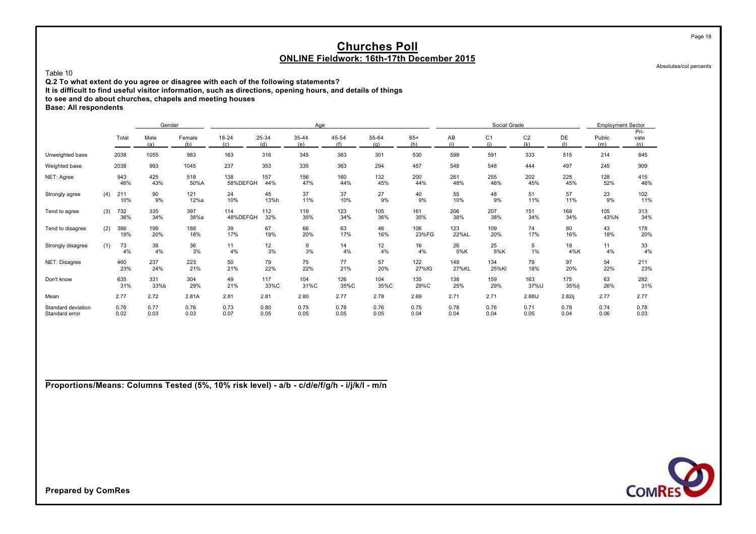Absolutes/col percents

Page 18

#### Table 10

**Q.2 To what extent do you agree or disagree with each of the following statements?**

**It is difficult to find useful visitor information, such as directions, opening hours, and details of things**

**to see and do about churches, chapels and meeting houses**

**Base: All respondents**

|                                      |     |              | Gender       |               |                  |              | Age          |              |              |              |              | Social Grade          |                       |              | <b>Employment Sector</b> |                     |
|--------------------------------------|-----|--------------|--------------|---------------|------------------|--------------|--------------|--------------|--------------|--------------|--------------|-----------------------|-----------------------|--------------|--------------------------|---------------------|
|                                      |     | Total        | Male<br>(a)  | Female<br>(b) | $18 - 24$<br>(c) | 25-34<br>(d) | 35-44<br>(e) | 45-54<br>(f) | 55-64<br>(q) | $65+$<br>(h) | AB<br>(i)    | C <sub>1</sub><br>(i) | C <sub>2</sub><br>(k) | DE<br>(1)    | Public<br>(m)            | Pri-<br>vate<br>(n) |
| Unweighted base                      |     | 2038         | 1055         | 983           | 163              | 316          | 345          | 383          | 301          | 530          | 599          | 591                   | 333                   | 515          | 214                      | 845                 |
| Weighted base                        |     | 2038         | 993          | 1045          | 237              | 353          | 335          | 363          | 294          | 457          | 548          | 548                   | 444                   | 497          | 245                      | 909                 |
| NET: Agree                           |     | 943<br>46%   | 425<br>43%   | 518<br>50%A   | 138<br>58%DEFGH  | 157<br>44%   | 156<br>47%   | 160<br>44%   | 132<br>45%   | 200<br>44%   | 261<br>48%   | 255<br>46%            | 202<br>45%            | 225<br>45%   | 128<br>52%               | 415<br>46%          |
| Strongly agree                       | (4) | 211<br>10%   | 90<br>9%     | 121<br>12%a   | 24<br>10%        | 45<br>13%h   | 37<br>11%    | 37<br>10%    | 27<br>9%     | 40<br>9%     | 55<br>10%    | 48<br>9%              | 51<br>11%             | 57<br>11%    | 23<br>9%                 | 102<br>11%          |
| Tend to agree                        | (3) | 732<br>36%   | 335<br>34%   | 397<br>38%a   | 114<br>48%DEFGH  | 112<br>32%   | 119<br>35%   | 123<br>34%   | 105<br>36%   | 161<br>35%   | 206<br>38%   | 207<br>38%            | 151<br>34%            | 168<br>34%   | 105<br>43%N              | 313<br>34%          |
| Tend to disagree                     | (2) | 386<br>19%   | 199<br>20%   | 188<br>18%    | 39<br>17%        | 67<br>19%    | 66<br>20%    | 63<br>17%    | 46<br>16%    | 106<br>23%FG | 123<br>22%kL | 109<br>20%            | 74<br>17%             | 80<br>16%    | 43<br>18%                | 178<br>20%          |
| Strongly disagree                    | (1) | 73<br>4%     | 38<br>4%     | 36<br>3%      | 11<br>4%         | 12<br>3%     | 9<br>3%      | 14<br>4%     | 12<br>4%     | 16<br>4%     | 26<br>5%K    | 25<br>5%K             | 5<br>$1\%$            | 18<br>4%K    | 11<br>4%                 | 33<br>4%            |
| NET: Disagree                        |     | 460<br>23%   | 237<br>24%   | 223<br>21%    | 50<br>21%        | 79<br>22%    | 75<br>22%    | 77<br>21%    | 57<br>20%    | 122<br>27%fG | 149<br>27%KL | 134<br>25%KI          | 79<br>18%             | 97<br>20%    | 54<br>22%                | 211<br>23%          |
| Don't know                           |     | 635<br>31%   | 331<br>33%b  | 304<br>29%    | 49<br>21%        | 117<br>33%C  | 104<br>31%C  | 126<br>35%C  | 104<br>35%C  | 135<br>29%C  | 138<br>25%   | 159<br>29%            | 163<br>37%IJ          | 175<br>35%lj | 63<br>26%                | 282<br>31%          |
| Mean                                 |     | 2.77         | 2.72         | 2.81A         | 2.81             | 2.81         | 2.80         | 2.77         | 2.78         | 2.69         | 2.71         | 2.71                  | 2.88IJ                | 2.82i        | 2.77                     | 2.77                |
| Standard deviation<br>Standard error |     | 0.76<br>0.02 | 0.77<br>0.03 | 0.76<br>0.03  | 0.73<br>0.07     | 0.80<br>0.05 | 0.75<br>0.05 | 0.78<br>0.05 | 0.76<br>0.05 | 0.75<br>0.04 | 0.78<br>0.04 | 0.76<br>0.04          | 0.71<br>0.05          | 0.78<br>0.04 | 0.74<br>0.06             | 0.78<br>0.03        |

**Proportions/Means: Columns Tested (5%, 10% risk level) - a/b - c/d/e/f/g/h - i/j/k/l - m/n**

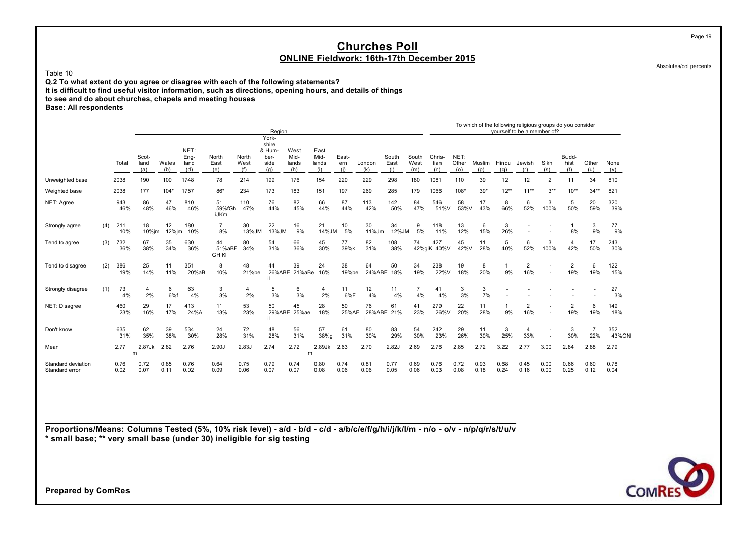Table 10

**Q.2 To what extent do you agree or disagree with each of the following statements?**

**It is difficult to find useful visitor information, such as directions, opening hours, and details of things**

**to see and do about churches, chapels and meeting houses**

**Base: All respondents**

|                                      |     |              |                      |                 |                             |                              |                      | Region                                          |                              |                              |                     |                  |                      |                      |                       |                      |               |              | To which of the following religious groups do you consider<br>vourself to be a member of? |                          |                       |              |              |
|--------------------------------------|-----|--------------|----------------------|-----------------|-----------------------------|------------------------------|----------------------|-------------------------------------------------|------------------------------|------------------------------|---------------------|------------------|----------------------|----------------------|-----------------------|----------------------|---------------|--------------|-------------------------------------------------------------------------------------------|--------------------------|-----------------------|--------------|--------------|
|                                      |     | Total        | Scot-<br>land<br>(a) | Wales<br>(b)    | NET:<br>Eng-<br>land<br>(d) | North<br>East<br>(e)         | North<br>West<br>(f) | York-<br>shire<br>& Hum-<br>ber-<br>side<br>(q) | West<br>Mid-<br>lands<br>(h) | East<br>Mid-<br>lands<br>(i) | East-<br>ern<br>(i) | London<br>(k)    | South<br>East<br>(1) | South<br>West<br>(m) | Chris-<br>tian<br>(n) | NET:<br>Other<br>(0) | Muslim<br>(D) | Hindu<br>(a) | Jewish<br>(r)                                                                             | Sikh<br>(s)              | Budd-<br>hist<br>(t)  | Other<br>(u) | None<br>(v)  |
| Unweighted base                      |     | 2038         | 190                  | 100             | 1748                        | 78                           | 214                  | 199                                             | 176                          | 154                          | 220                 | 229              | 298                  | 180                  | 1081                  | 110                  | 39            | 12           | 12                                                                                        | $\overline{2}$           | 11                    | 34           | 810          |
| Weighted base                        |     | 2038         | 177                  | $104*$          | 1757                        | 86*                          | 234                  | 173                                             | 183                          | 151                          | 197                 | 269              | 285                  | 179                  | 1066                  | $108*$               | $39*$         | $12***$      | $11**$                                                                                    | $3***$                   | $10**$                | $34**$       | 821          |
| NET: Agree                           |     | 943<br>46%   | 86<br>48%            | 47<br>46%       | 810<br>46%                  | 51<br>59%fGh<br><b>iJKm</b>  | 110<br>47%           | 76<br>44%                                       | 82<br>45%                    | 66<br>44%                    | 87<br>44%           | 113<br>42%       | 142<br>50%           | 84<br>47%            | 546<br>51%V           | 58<br>53%V           | 17<br>43%     | 8<br>66%     | 6<br>52%                                                                                  | 3<br>100%                | 5<br>50%              | 20<br>59%    | 320<br>39%   |
| Strongly agree                       | (4) | 211<br>10%   | 18<br>10%jm          | 12<br>$12\%$ jm | 180<br>10%                  | $\overline{7}$<br>8%         | 30<br>13%JM          | 22<br>13%JM                                     | 16<br>9%                     | 21<br>14%JM                  | 10<br>5%            | 30<br>11%Jm      | 34<br>12%JM          | 9<br>5%              | 118<br>11%            | 13<br>12%            | 6<br>15%      | 3<br>26%     |                                                                                           |                          | 8%                    | 3<br>9%      | 77<br>9%     |
| Tend to agree                        | (3) | 732<br>36%   | 67<br>38%            | 35<br>34%       | 630<br>36%                  | 44<br>51%aBF<br><b>GHIKI</b> | 80<br>34%            | 54<br>31%                                       | 66<br>36%                    | 45<br>30%                    | 77<br>39%k          | 82<br>31%        | 108<br>38%           | 74<br>42%giK         | 427<br>40%V           | 45<br>42%V           | 11<br>28%     | 5<br>40%     | 6<br>52%                                                                                  | 3<br>100%                | $\overline{4}$<br>42% | 17<br>50%    | 243<br>30%   |
| Tend to disagree                     | (2) | 386<br>19%   | 25<br>14%            | 11<br>11%       | 351<br>20%aB                | 8<br>10%                     | 48<br>21%be          | 44                                              | 39<br>26%ABE 21%aBe          | 24<br>16%                    | 38<br>19%be         | 64<br>24%ABE     | 50<br>18%            | 34<br>19%            | 238<br>22%V           | 19<br>18%            | 8<br>20%      | 9%           | $\overline{2}$<br>16%                                                                     |                          | $\overline{2}$<br>19% | 6<br>19%     | 122<br>15%   |
| Strongly disagree                    | (1) | 73<br>4%     | 4<br>2%              | 6<br>6%f        | 63<br>4%                    | 3<br>3%                      | 4<br>2%              | 5<br>3%                                         | 6<br>3%                      | 4<br>2%                      | 11<br>6%F           | 12<br>4%         | 11<br>4%             | 4%                   | 41<br>4%              | 3<br>3%              | 3<br>7%       |              |                                                                                           |                          |                       |              | 27<br>3%     |
| NET: Disagree                        |     | 460<br>23%   | 29<br>16%            | 17<br>17%       | 413<br>24%A                 | 11<br>13%                    | 53<br>23%            | 50                                              | 45<br>29%ABE 25%ae           | 28<br>18%                    | 50<br>25%AE         | 76<br>28%ABE 21% | 61                   | 41<br>23%            | 279<br>26%V           | 22<br>20%            | 11<br>28%     | 9%           | $\overline{2}$<br>16%                                                                     |                          | $\overline{2}$<br>19% | 6<br>19%     | 149<br>18%   |
| Don't know                           |     | 635<br>31%   | 62<br>35%            | 39<br>38%       | 534<br>30%                  | 24<br>28%                    | 72<br>31%            | 48<br>28%                                       | 56<br>31%                    | 57<br>38%g                   | 61<br>31%           | 80<br>30%        | 83<br>29%            | 54<br>30%            | 242<br>23%            | 29<br>26%            | 11<br>30%     | 3<br>25%     | $\overline{4}$<br>33%                                                                     | $\overline{\phantom{a}}$ | 3<br>30%              | 22%          | 352<br>43%ON |
| Mean                                 |     | 2.77         | 2.87Jk<br>m          | 2.82            | 2.76                        | 2.90J                        | 2.83J                | 2.74                                            | 2.72<br>m                    | 2.89Jk                       | 2.63                | 2.70             | 2.82J                | 2.69                 | 2.76                  | 2.85                 | 2.72          | 3.22         | 2.77                                                                                      | 3.00                     | 2.84                  | 2.88         | 2.79         |
| Standard deviation<br>Standard error |     | 0.76<br>0.02 | 0.72<br>0.07         | 0.85<br>0.11    | 0.76<br>0.02                | 0.64<br>0.09                 | 0.75<br>0.06         | 0.79<br>0.07                                    | 0.74<br>0.07                 | 0.80<br>0.08                 | 0.74<br>0.06        | 0.81<br>0.06     | 0.77<br>0.05         | 0.69<br>0.06         | 0.76<br>0.03          | 0.72<br>0.08         | 0.93<br>0.18  | 0.68<br>0.24 | 0.45<br>0.16                                                                              | 0.00<br>0.00             | 0.66<br>0.25          | 0.60<br>0.12 | 0.78<br>0.04 |

**Proportions/Means: Columns Tested (5%, 10% risk level) - a/d - b/d - c/d - a/b/c/e/f/g/h/i/j/k/l/m - n/o - o/v - n/p/q/r/s/t/u/v \* small base; \*\* very small base (under 30) ineligible for sig testing**



Absolutes/col percents

Page 19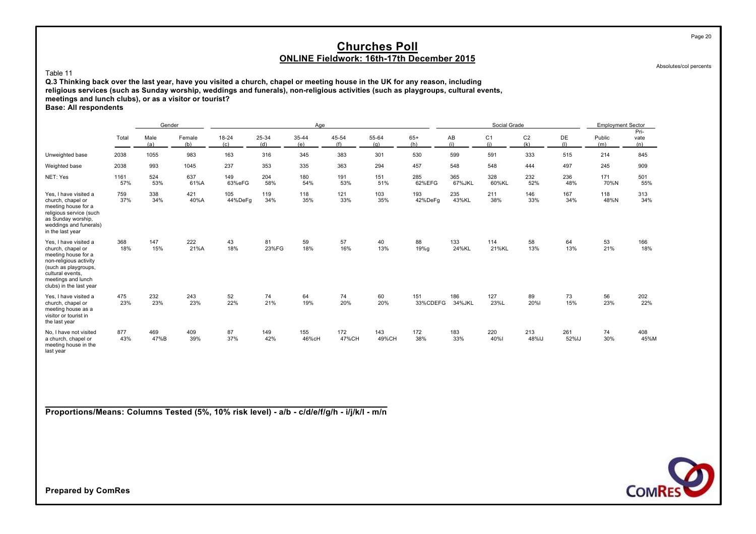#### Absolutes/col percents

Page 20

#### Table 11

**Q.3 Thinking back over the last year, have you visited a church, chapel or meeting house in the UK for any reason, including religious services (such as Sunday worship, weddings and funerals), non-religious activities (such as playgroups, cultural events, meetings and lunch clubs), or as a visitor or tourist? Base: All respondents**

|                                                                                                                                                                                          |             | Gender      |               |                  |              | Age          |              |              |                 |               | Social Grade          |                       |              | <b>Employment Sector</b> |                     |
|------------------------------------------------------------------------------------------------------------------------------------------------------------------------------------------|-------------|-------------|---------------|------------------|--------------|--------------|--------------|--------------|-----------------|---------------|-----------------------|-----------------------|--------------|--------------------------|---------------------|
|                                                                                                                                                                                          | Total       | Male<br>(a) | Female<br>(b) | $18 - 24$<br>(c) | 25-34<br>(d) | 35-44<br>(e) | 45-54<br>(f) | 55-64<br>(q) | $65+$<br>(h)    | AB<br>(i)     | C <sub>1</sub><br>(i) | C <sub>2</sub><br>(k) | DE<br>(1)    | Public<br>(m)            | Pri-<br>vate<br>(n) |
| Unweighted base                                                                                                                                                                          | 2038        | 1055        | 983           | 163              | 316          | 345          | 383          | 301          | 530             | 599           | 591                   | 333                   | 515          | 214                      | 845                 |
| Weighted base                                                                                                                                                                            | 2038        | 993         | 1045          | 237              | 353          | 335          | 363          | 294          | 457             | 548           | 548                   | 444                   | 497          | 245                      | 909                 |
| NET: Yes                                                                                                                                                                                 | 1161<br>57% | 524<br>53%  | 637<br>61%A   | 149<br>63%eFG    | 204<br>58%   | 180<br>54%   | 191<br>53%   | 151<br>51%   | 285<br>62%EFG   | 365<br>67%JKL | 328<br>60%KL          | 232<br>52%            | 236<br>48%   | 171<br>70%N              | 501<br>55%          |
| Yes. I have visited a<br>church, chapel or<br>meeting house for a<br>religious service (such<br>as Sunday worship,<br>weddings and funerals)<br>in the last year                         | 759<br>37%  | 338<br>34%  | 421<br>40%A   | 105<br>44%DeFg   | 119<br>34%   | 118<br>35%   | 121<br>33%   | 103<br>35%   | 193<br>42%DeFg  | 235<br>43%KL  | 211<br>38%            | 146<br>33%            | 167<br>34%   | 118<br>48%N              | 313<br>34%          |
| Yes. I have visited a<br>church, chapel or<br>meeting house for a<br>non-religious activity<br>(such as playgroups,<br>cultural events.<br>meetings and lunch<br>clubs) in the last year | 368<br>18%  | 147<br>15%  | 222<br>21%A   | 43<br>18%        | 81<br>23%FG  | 59<br>18%    | 57<br>16%    | 40<br>13%    | 88<br>19%g      | 133<br>24%KL  | 114<br>21%KL          | 58<br>13%             | 64<br>13%    | 53<br>21%                | 166<br>18%          |
| Yes, I have visited a<br>church, chapel or<br>meeting house as a<br>visitor or tourist in<br>the last year                                                                               | 475<br>23%  | 232<br>23%  | 243<br>23%    | 52<br>22%        | 74<br>21%    | 64<br>19%    | 74<br>20%    | 60<br>20%    | 151<br>33%CDEFG | 186<br>34%JKL | 127<br>23%L           | 89<br>20%             | 73<br>15%    | 56<br>23%                | 202<br>22%          |
| No. I have not visited<br>a church, chapel or<br>meeting house in the<br>last year                                                                                                       | 877<br>43%  | 469<br>47%B | 409<br>39%    | 87<br>37%        | 149<br>42%   | 155<br>46%cH | 172<br>47%CH | 143<br>49%CH | 172<br>38%      | 183<br>33%    | 220<br>40%            | 213<br>48%IJ          | 261<br>52%IJ | 74<br>30%                | 408<br>45%M         |

**Proportions/Means: Columns Tested (5%, 10% risk level) - a/b - c/d/e/f/g/h - i/j/k/l - m/n**